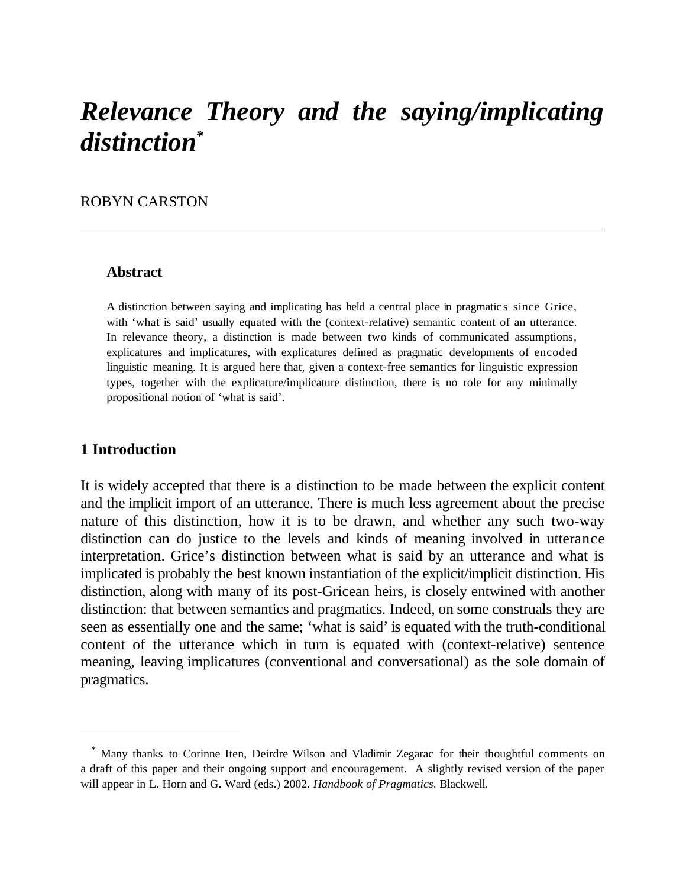# *Relevance Theory and the saying/implicating distinction\**

## ROBYN CARSTON

## **Abstract**

A distinction between saying and implicating has held a central place in pragmatic s since Grice, with 'what is said' usually equated with the (context-relative) semantic content of an utterance. In relevance theory, a distinction is made between two kinds of communicated assumptions, explicatures and implicatures, with explicatures defined as pragmatic developments of encoded linguistic meaning. It is argued here that, given a context-free semantics for linguistic expression types, together with the explicature/implicature distinction, there is no role for any minimally propositional notion of 'what is said'.

# **1 Introduction**

It is widely accepted that there is a distinction to be made between the explicit content and the implicit import of an utterance. There is much less agreement about the precise nature of this distinction, how it is to be drawn, and whether any such two-way distinction can do justice to the levels and kinds of meaning involved in utterance interpretation. Grice's distinction between what is said by an utterance and what is implicated is probably the best known instantiation of the explicit/implicit distinction. His distinction, along with many of its post-Gricean heirs, is closely entwined with another distinction: that between semantics and pragmatics. Indeed, on some construals they are seen as essentially one and the same; 'what is said' is equated with the truth-conditional content of the utterance which in turn is equated with (context-relative) sentence meaning, leaving implicatures (conventional and conversational) as the sole domain of pragmatics.

<sup>\*</sup> Many thanks to Corinne Iten, Deirdre Wilson and Vladimir Zegarac for their thoughtful comments on a draft of this paper and their ongoing support and encouragement. A slightly revised version of the paper will appear in L. Horn and G. Ward (eds.) 2002. *Handbook of Pragmatics*. Blackwell.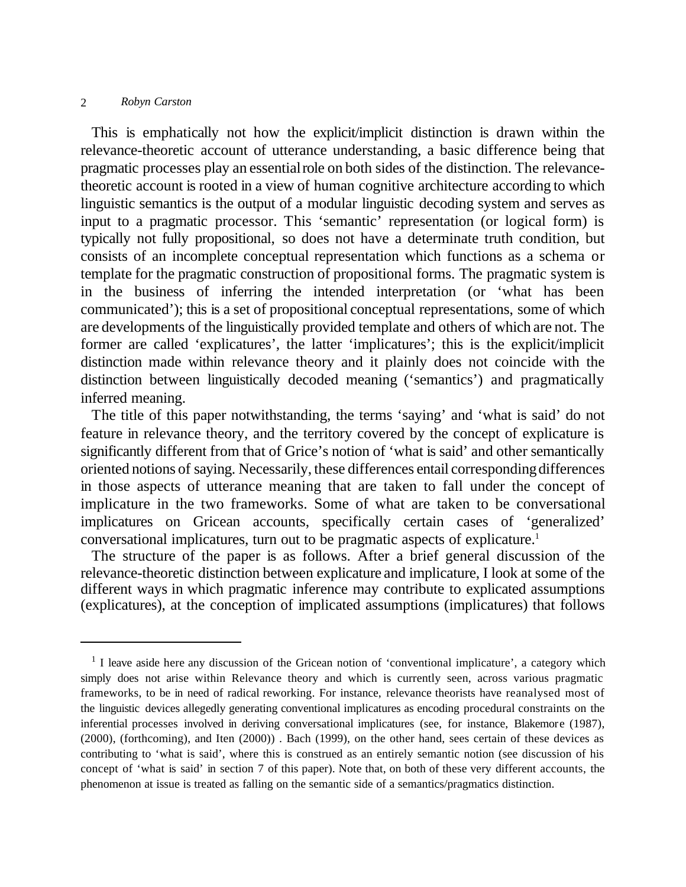This is emphatically not how the explicit/implicit distinction is drawn within the relevance-theoretic account of utterance understanding, a basic difference being that pragmatic processes play an essentialrole on both sides of the distinction. The relevancetheoretic account is rooted in a view of human cognitive architecture according to which linguistic semantics is the output of a modular linguistic decoding system and serves as input to a pragmatic processor. This 'semantic' representation (or logical form) is typically not fully propositional, so does not have a determinate truth condition, but consists of an incomplete conceptual representation which functions as a schema or template for the pragmatic construction of propositional forms. The pragmatic system is in the business of inferring the intended interpretation (or 'what has been communicated'); this is a set of propositional conceptual representations, some of which are developments of the linguistically provided template and others of which are not. The former are called 'explicatures', the latter 'implicatures'; this is the explicit/implicit distinction made within relevance theory and it plainly does not coincide with the distinction between linguistically decoded meaning ('semantics') and pragmatically inferred meaning.

The title of this paper notwithstanding, the terms 'saying' and 'what is said' do not feature in relevance theory, and the territory covered by the concept of explicature is significantly different from that of Grice's notion of 'what is said' and other semantically oriented notions of saying. Necessarily, these differences entail correspondingdifferences in those aspects of utterance meaning that are taken to fall under the concept of implicature in the two frameworks. Some of what are taken to be conversational implicatures on Gricean accounts, specifically certain cases of 'generalized' conversational implicatures, turn out to be pragmatic aspects of explicature.<sup>1</sup>

The structure of the paper is as follows. After a brief general discussion of the relevance-theoretic distinction between explicature and implicature, I look at some of the different ways in which pragmatic inference may contribute to explicated assumptions (explicatures), at the conception of implicated assumptions (implicatures) that follows

 $<sup>1</sup>$  I leave aside here any discussion of the Gricean notion of 'conventional implicature', a category which</sup> simply does not arise within Relevance theory and which is currently seen, across various pragmatic frameworks, to be in need of radical reworking. For instance, relevance theorists have reanalysed most of the linguistic devices allegedly generating conventional implicatures as encoding procedural constraints on the inferential processes involved in deriving conversational implicatures (see, for instance, Blakemore (1987), (2000), (forthcoming), and Iten (2000)) . Bach (1999), on the other hand, sees certain of these devices as contributing to 'what is said', where this is construed as an entirely semantic notion (see discussion of his concept of 'what is said' in section 7 of this paper). Note that, on both of these very different accounts, the phenomenon at issue is treated as falling on the semantic side of a semantics/pragmatics distinction.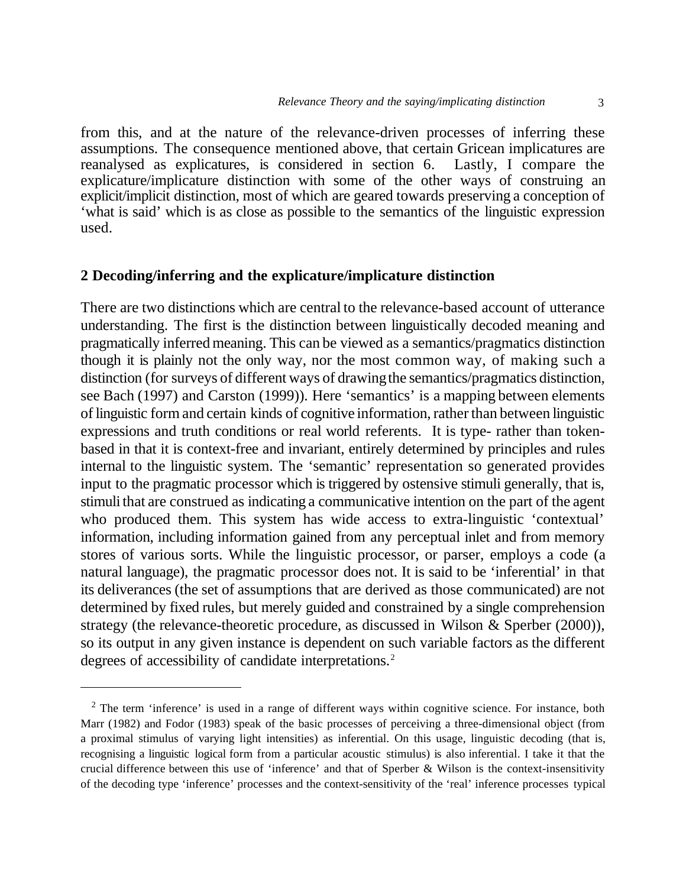from this, and at the nature of the relevance-driven processes of inferring these assumptions. The consequence mentioned above, that certain Gricean implicatures are reanalysed as explicatures, is considered in section 6. Lastly, I compare the explicature/implicature distinction with some of the other ways of construing an explicit/implicit distinction, most of which are geared towards preserving a conception of 'what is said' which is as close as possible to the semantics of the linguistic expression used.

## **2 Decoding/inferring and the explicature/implicature distinction**

There are two distinctions which are central to the relevance-based account of utterance understanding. The first is the distinction between linguistically decoded meaning and pragmatically inferred meaning. This can be viewed as a semantics/pragmatics distinction though it is plainly not the only way, nor the most common way, of making such a distinction (for surveys of different ways of drawing the semantics/pragmatics distinction, see Bach (1997) and Carston (1999)). Here 'semantics' is a mapping between elements of linguistic form and certain kinds of cognitive information,rather than between linguistic expressions and truth conditions or real world referents. It is type- rather than tokenbased in that it is context-free and invariant, entirely determined by principles and rules internal to the linguistic system. The 'semantic' representation so generated provides input to the pragmatic processor which is triggered by ostensive stimuli generally, that is, stimuli that are construed as indicating a communicative intention on the part of the agent who produced them. This system has wide access to extra-linguistic 'contextual' information, including information gained from any perceptual inlet and from memory stores of various sorts. While the linguistic processor, or parser, employs a code (a natural language), the pragmatic processor does not. It is said to be 'inferential' in that its deliverances (the set of assumptions that are derived as those communicated) are not determined by fixed rules, but merely guided and constrained by a single comprehension strategy (the relevance-theoretic procedure, as discussed in Wilson & Sperber (2000)), so its output in any given instance is dependent on such variable factors as the different degrees of accessibility of candidate interpretations.<sup>2</sup>

 $2$  The term 'inference' is used in a range of different ways within cognitive science. For instance, both Marr (1982) and Fodor (1983) speak of the basic processes of perceiving a three-dimensional object (from a proximal stimulus of varying light intensities) as inferential. On this usage, linguistic decoding (that is, recognising a linguistic logical form from a particular acoustic stimulus) is also inferential. I take it that the crucial difference between this use of 'inference' and that of Sperber & Wilson is the context-insensitivity of the decoding type 'inference' processes and the context-sensitivity of the 'real' inference processes typical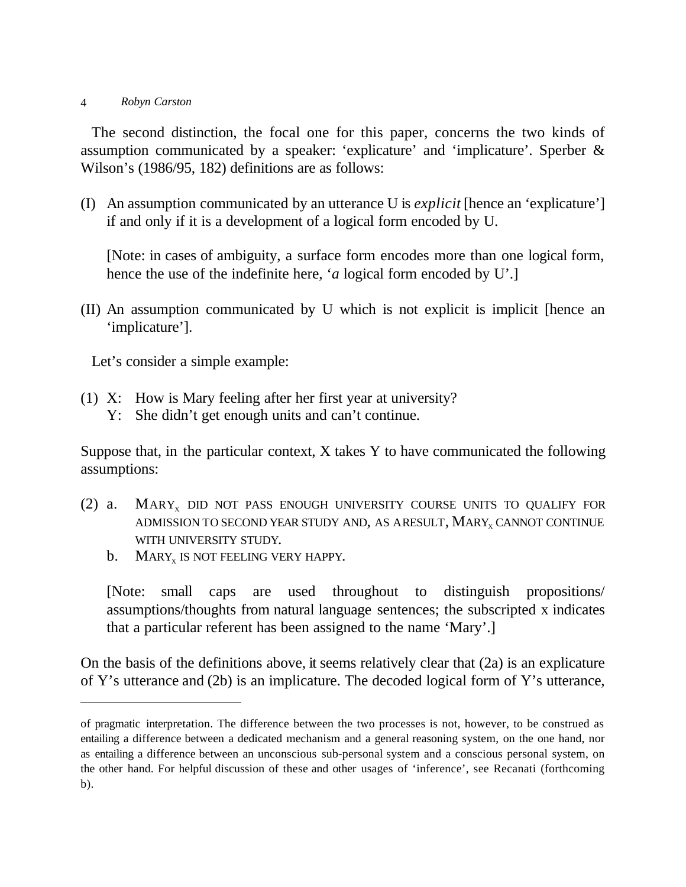The second distinction, the focal one for this paper, concerns the two kinds of assumption communicated by a speaker: 'explicature' and 'implicature'. Sperber & Wilson's (1986/95, 182) definitions are as follows:

(I) An assumption communicated by an utterance U is *explicit* [hence an 'explicature'] if and only if it is a development of a logical form encoded by U.

[Note: in cases of ambiguity, a surface form encodes more than one logical form, hence the use of the indefinite here, '*a* logical form encoded by U'.]

(II) An assumption communicated by U which is not explicit is implicit [hence an 'implicature'].

Let's consider a simple example:

- (1) X: How is Mary feeling after her first year at university?
	- Y: She didn't get enough units and can't continue.

Suppose that, in the particular context, X takes Y to have communicated the following assumptions:

- (2) a. MARY<sub>x</sub> DID NOT PASS ENOUGH UNIVERSITY COURSE UNITS TO QUALIFY FOR ADMISSION TO SECOND YEAR STUDY AND, AS ARESULT,  $\text{MARY}_x$  CANNOT CONTINUE WITH UNIVERSITY STUDY.
	- b. MARY<sub>x</sub> is not feeling very happy.

[Note: small caps are used throughout to distinguish propositions/ assumptions/thoughts from natural language sentences; the subscripted x indicates that a particular referent has been assigned to the name 'Mary'.]

On the basis of the definitions above, it seems relatively clear that (2a) is an explicature of Y's utterance and (2b) is an implicature. The decoded logical form of Y's utterance,

of pragmatic interpretation. The difference between the two processes is not, however, to be construed as entailing a difference between a dedicated mechanism and a general reasoning system, on the one hand, nor as entailing a difference between an unconscious sub-personal system and a conscious personal system, on the other hand. For helpful discussion of these and other usages of 'inference', see Recanati (forthcoming b).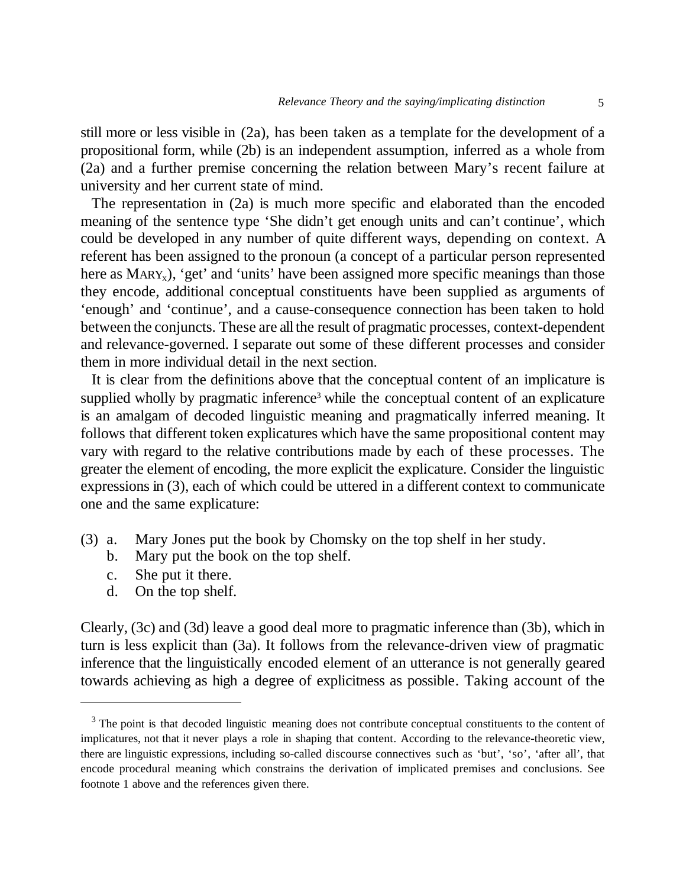still more or less visible in (2a), has been taken as a template for the development of a propositional form, while (2b) is an independent assumption, inferred as a whole from (2a) and a further premise concerning the relation between Mary's recent failure at university and her current state of mind.

The representation in (2a) is much more specific and elaborated than the encoded meaning of the sentence type 'She didn't get enough units and can't continue', which could be developed in any number of quite different ways, depending on context. A referent has been assigned to the pronoun (a concept of a particular person represented here as  $MARY_x$ ), 'get' and 'units' have been assigned more specific meanings than those they encode, additional conceptual constituents have been supplied as arguments of 'enough' and 'continue', and a cause-consequence connection has been taken to hold between the conjuncts. These are all the result of pragmatic processes, context-dependent and relevance-governed. I separate out some of these different processes and consider them in more individual detail in the next section.

It is clear from the definitions above that the conceptual content of an implicature is supplied wholly by pragmatic inference<sup>3</sup> while the conceptual content of an explicature is an amalgam of decoded linguistic meaning and pragmatically inferred meaning. It follows that different token explicatures which have the same propositional content may vary with regard to the relative contributions made by each of these processes. The greater the element of encoding, the more explicit the explicature. Consider the linguistic expressions in (3), each of which could be uttered in a different context to communicate one and the same explicature:

- (3) a. Mary Jones put the book by Chomsky on the top shelf in her study.
	- b. Mary put the book on the top shelf.
	- c. She put it there.
	- d. On the top shelf.

Clearly, (3c) and (3d) leave a good deal more to pragmatic inference than (3b), which in turn is less explicit than (3a). It follows from the relevance-driven view of pragmatic inference that the linguistically encoded element of an utterance is not generally geared towards achieving as high a degree of explicitness as possible. Taking account of the

<sup>&</sup>lt;sup>3</sup> The point is that decoded linguistic meaning does not contribute conceptual constituents to the content of implicatures, not that it never plays a role in shaping that content. According to the relevance-theoretic view, there are linguistic expressions, including so-called discourse connectives such as 'but', 'so', 'after all', that encode procedural meaning which constrains the derivation of implicated premises and conclusions. See footnote 1 above and the references given there.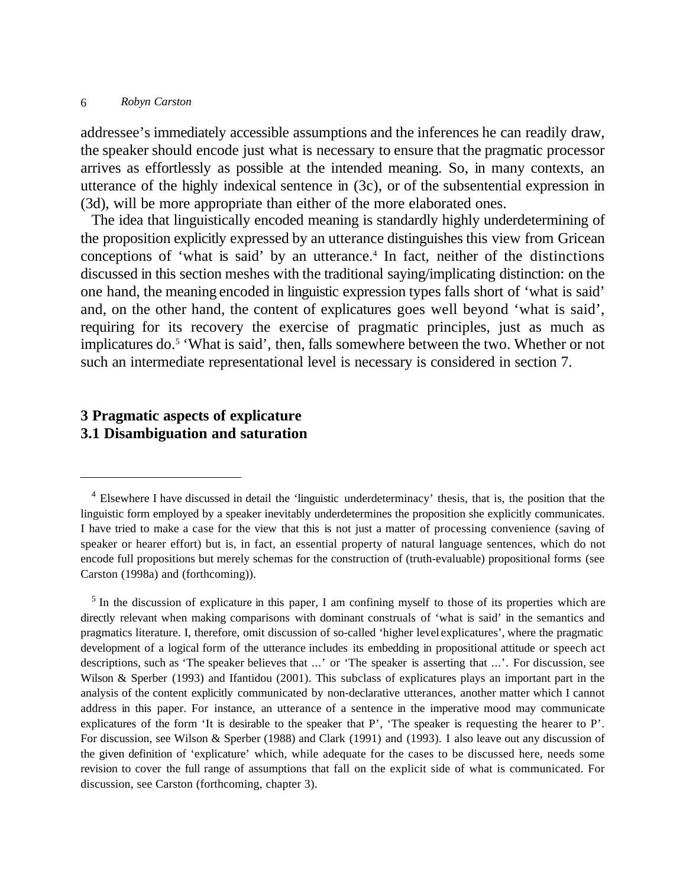addressee's immediately accessible assumptions and the inferences he can readily draw, the speaker should encode just what is necessary to ensure that the pragmatic processor arrives as effortlessly as possible at the intended meaning. So, in many contexts, an utterance of the highly indexical sentence in (3c), or of the subsentential expression in (3d), will be more appropriate than either of the more elaborated ones.

The idea that linguistically encoded meaning is standardly highly underdetermining of the proposition explicitly expressed by an utterance distinguishes this view from Gricean conceptions of 'what is said' by an utterance.<sup>4</sup> In fact, neither of the distinctions discussed in this section meshes with the traditional saying/implicating distinction: on the one hand, the meaning encoded in linguistic expression types falls short of 'what is said' and, on the other hand, the content of explicatures goes well beyond 'what is said', requiring for its recovery the exercise of pragmatic principles, just as much as implicatures do.<sup>5</sup> 'What is said', then, falls somewhere between the two. Whether or not such an intermediate representational level is necessary is considered in section 7.

# **3 Pragmatic aspects of explicature 3.1 Disambiguation and saturation**

<sup>&</sup>lt;sup>4</sup> Elsewhere I have discussed in detail the 'linguistic underdeterminacy' thesis, that is, the position that the linguistic form employed by a speaker inevitably underdetermines the proposition she explicitly communicates. I have tried to make a case for the view that this is not just a matter of processing convenience (saving of speaker or hearer effort) but is, in fact, an essential property of natural language sentences, which do not encode full propositions but merely schemas for the construction of (truth-evaluable) propositional forms (see Carston (1998a) and (forthcoming)).

 $<sup>5</sup>$  In the discussion of explicature in this paper, I am confining myself to those of its properties which are</sup> directly relevant when making comparisons with dominant construals of 'what is said' in the semantics and pragmatics literature. I, therefore, omit discussion of so-called 'higher level explicatures', where the pragmatic development of a logical form of the utterance includes its embedding in propositional attitude or speech act descriptions, such as 'The speaker believes that ...' or 'The speaker is asserting that ...'. For discussion, see Wilson & Sperber (1993) and Ifantidou (2001). This subclass of explicatures plays an important part in the analysis of the content explicitly communicated by non-declarative utterances, another matter which I cannot address in this paper. For instance, an utterance of a sentence in the imperative mood may communicate explicatures of the form 'It is desirable to the speaker that P', 'The speaker is requesting the hearer to P'. For discussion, see Wilson & Sperber (1988) and Clark (1991) and (1993). I also leave out any discussion of the given definition of 'explicature' which, while adequate for the cases to be discussed here, needs some revision to cover the full range of assumptions that fall on the explicit side of what is communicated. For discussion, see Carston (forthcoming, chapter 3).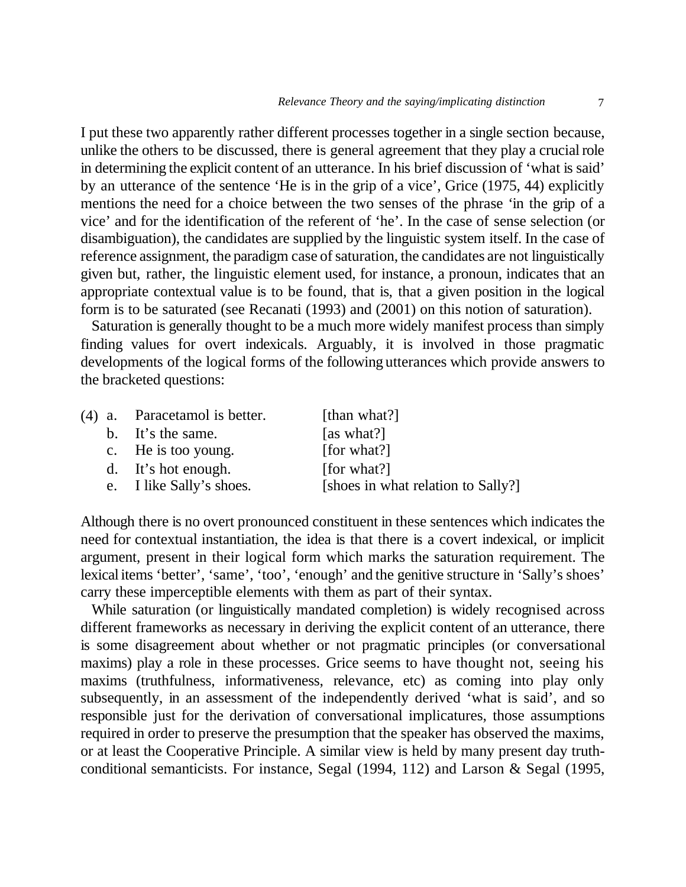I put these two apparently rather different processes together in a single section because, unlike the others to be discussed, there is general agreement that they play a crucial role in determining the explicit content of an utterance. In his brief discussion of 'what is said' by an utterance of the sentence 'He is in the grip of a vice', Grice (1975, 44) explicitly mentions the need for a choice between the two senses of the phrase 'in the grip of a vice' and for the identification of the referent of 'he'. In the case of sense selection (or disambiguation), the candidates are supplied by the linguistic system itself. In the case of reference assignment, the paradigm case of saturation, the candidates are not linguistically given but, rather, the linguistic element used, for instance, a pronoun, indicates that an appropriate contextual value is to be found, that is, that a given position in the logical form is to be saturated (see Recanati (1993) and (2001) on this notion of saturation).

Saturation is generally thought to be a much more widely manifest process than simply finding values for overt indexicals. Arguably, it is involved in those pragmatic developments of the logical forms of the following utterances which provide answers to the bracketed questions:

| (4) a. Paracetamol is better. | [than what?]                       |
|-------------------------------|------------------------------------|
| b. It's the same.             | [as what?]                         |
| c. He is too young.           | [for what?]                        |
| d. It's hot enough.           | [for what?]                        |
| e. I like Sally's shoes.      | [shoes in what relation to Sally?] |

Although there is no overt pronounced constituent in these sentences which indicates the need for contextual instantiation, the idea is that there is a covert indexical, or implicit argument, present in their logical form which marks the saturation requirement. The lexical items 'better', 'same', 'too', 'enough' and the genitive structure in 'Sally's shoes' carry these imperceptible elements with them as part of their syntax.

While saturation (or linguistically mandated completion) is widely recognised across different frameworks as necessary in deriving the explicit content of an utterance, there is some disagreement about whether or not pragmatic principles (or conversational maxims) play a role in these processes. Grice seems to have thought not, seeing his maxims (truthfulness, informativeness, relevance, etc) as coming into play only subsequently, in an assessment of the independently derived 'what is said', and so responsible just for the derivation of conversational implicatures, those assumptions required in order to preserve the presumption that the speaker has observed the maxims, or at least the Cooperative Principle. A similar view is held by many present day truthconditional semanticists. For instance, Segal (1994, 112) and Larson & Segal (1995,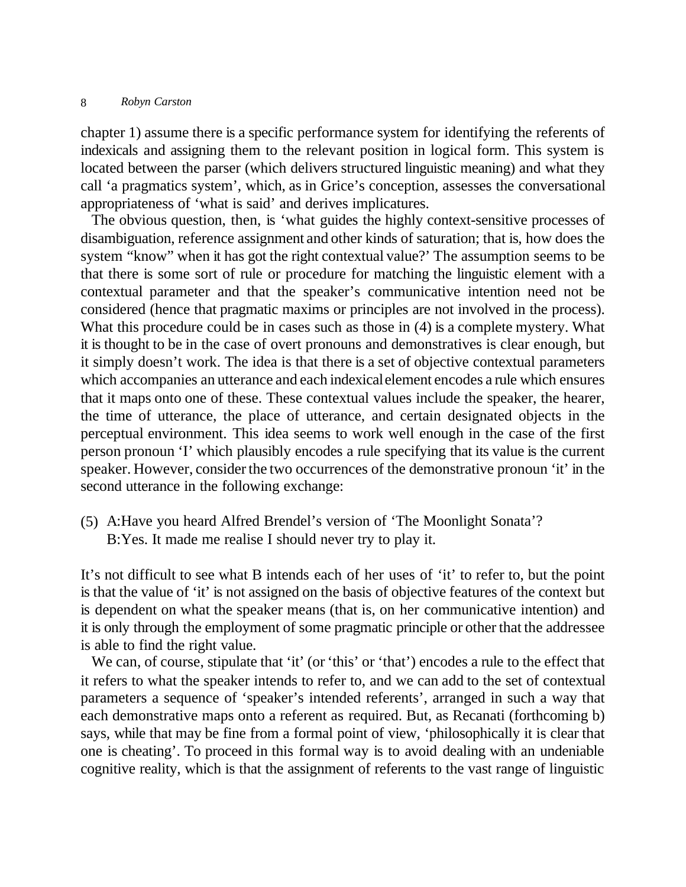chapter 1) assume there is a specific performance system for identifying the referents of indexicals and assigning them to the relevant position in logical form. This system is located between the parser (which delivers structured linguistic meaning) and what they call 'a pragmatics system', which, as in Grice's conception, assesses the conversational appropriateness of 'what is said' and derives implicatures.

The obvious question, then, is 'what guides the highly context-sensitive processes of disambiguation, reference assignment and other kinds of saturation; that is, how does the system "know" when it has got the right contextual value?' The assumption seems to be that there is some sort of rule or procedure for matching the linguistic element with a contextual parameter and that the speaker's communicative intention need not be considered (hence that pragmatic maxims or principles are not involved in the process). What this procedure could be in cases such as those in (4) is a complete mystery. What it is thought to be in the case of overt pronouns and demonstratives is clear enough, but it simply doesn't work. The idea is that there is a set of objective contextual parameters which accompanies an utterance and each indexical element encodes a rule which ensures that it maps onto one of these. These contextual values include the speaker, the hearer, the time of utterance, the place of utterance, and certain designated objects in the perceptual environment. This idea seems to work well enough in the case of the first person pronoun 'I' which plausibly encodes a rule specifying that its value is the current speaker. However, consider the two occurrences of the demonstrative pronoun 'it' in the second utterance in the following exchange:

(5) A:Have you heard Alfred Brendel's version of 'The Moonlight Sonata'? B:Yes. It made me realise I should never try to play it.

It's not difficult to see what B intends each of her uses of 'it' to refer to, but the point is that the value of 'it' is not assigned on the basis of objective features of the context but is dependent on what the speaker means (that is, on her communicative intention) and it is only through the employment of some pragmatic principle or other that the addressee is able to find the right value.

We can, of course, stipulate that 'it' (or 'this' or 'that') encodes a rule to the effect that it refers to what the speaker intends to refer to, and we can add to the set of contextual parameters a sequence of 'speaker's intended referents', arranged in such a way that each demonstrative maps onto a referent as required. But, as Recanati (forthcoming b) says, while that may be fine from a formal point of view, 'philosophically it is clear that one is cheating'. To proceed in this formal way is to avoid dealing with an undeniable cognitive reality, which is that the assignment of referents to the vast range of linguistic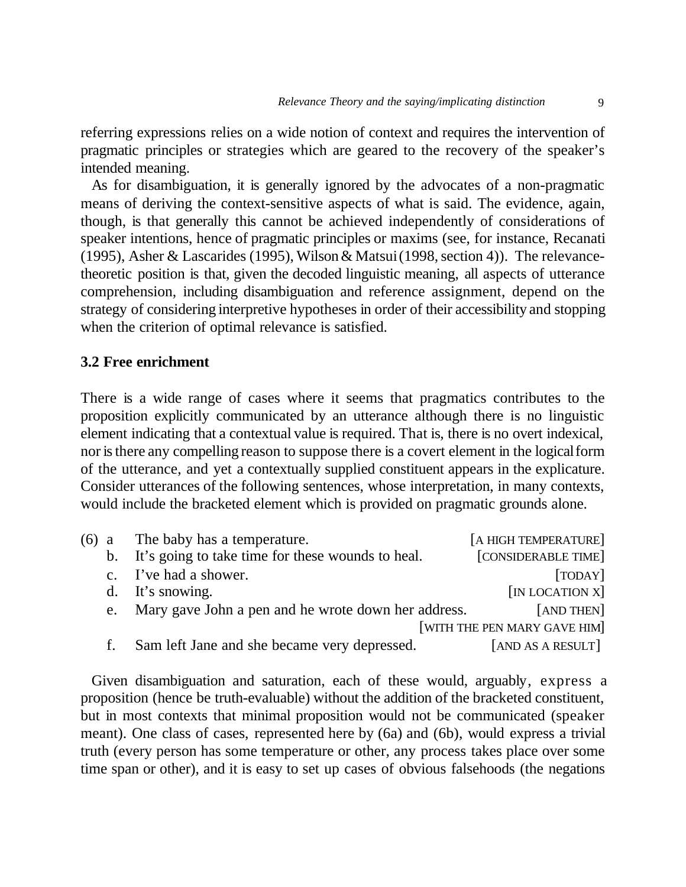referring expressions relies on a wide notion of context and requires the intervention of pragmatic principles or strategies which are geared to the recovery of the speaker's intended meaning.

As for disambiguation, it is generally ignored by the advocates of a non-pragmatic means of deriving the context-sensitive aspects of what is said. The evidence, again, though, is that generally this cannot be achieved independently of considerations of speaker intentions, hence of pragmatic principles or maxims (see, for instance, Recanati (1995), Asher & Lascarides (1995), Wilson & Matsui (1998, section 4)). The relevancetheoretic position is that, given the decoded linguistic meaning, all aspects of utterance comprehension, including disambiguation and reference assignment, depend on the strategy of considering interpretive hypotheses in order of their accessibility and stopping when the criterion of optimal relevance is satisfied.

# **3.2 Free enrichment**

There is a wide range of cases where it seems that pragmatics contributes to the proposition explicitly communicated by an utterance although there is no linguistic element indicating that a contextual value is required. That is, there is no overt indexical, nor isthere any compelling reason to suppose there is a covert element in the logicalform of the utterance, and yet a contextually supplied constituent appears in the explicature. Consider utterances of the following sentences, whose interpretation, in many contexts, would include the bracketed element which is provided on pragmatic grounds alone.

| (6) a | The baby has a temperature.                            | [A HIGH TEMPERATURE]              |
|-------|--------------------------------------------------------|-----------------------------------|
|       | b. It's going to take time for these wounds to heal.   | [CONSIDERABLE TIME]               |
|       | c. I've had a shower.                                  | [TODAY]                           |
|       | $d.$ It's snowing.                                     | [IN LOCATION X]                   |
|       | e. Mary gave John a pen and he wrote down her address. | [AND THEN]                        |
|       |                                                        | <b>WITH THE PEN MARY GAVE HIM</b> |
|       | Sam left Jane and she became very depressed.           | [AND AS A RESULT]                 |

Given disambiguation and saturation, each of these would, arguably, express a proposition (hence be truth-evaluable) without the addition of the bracketed constituent, but in most contexts that minimal proposition would not be communicated (speaker meant). One class of cases, represented here by (6a) and (6b), would express a trivial truth (every person has some temperature or other, any process takes place over some time span or other), and it is easy to set up cases of obvious falsehoods (the negations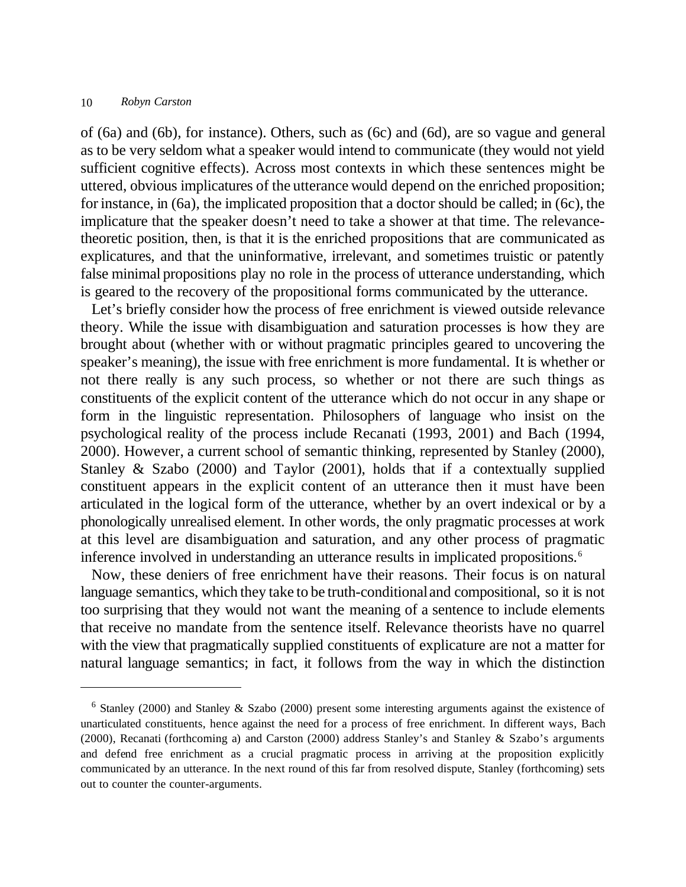of (6a) and (6b), for instance). Others, such as (6c) and (6d), are so vague and general as to be very seldom what a speaker would intend to communicate (they would not yield sufficient cognitive effects). Across most contexts in which these sentences might be uttered, obvious implicatures of the utterance would depend on the enriched proposition; for instance, in (6a), the implicated proposition that a doctor should be called; in (6c), the implicature that the speaker doesn't need to take a shower at that time. The relevancetheoretic position, then, is that it is the enriched propositions that are communicated as explicatures, and that the uninformative, irrelevant, and sometimes truistic or patently false minimal propositions play no role in the process of utterance understanding, which is geared to the recovery of the propositional forms communicated by the utterance.

Let's briefly consider how the process of free enrichment is viewed outside relevance theory. While the issue with disambiguation and saturation processes is how they are brought about (whether with or without pragmatic principles geared to uncovering the speaker's meaning), the issue with free enrichment is more fundamental. It is whether or not there really is any such process, so whether or not there are such things as constituents of the explicit content of the utterance which do not occur in any shape or form in the linguistic representation. Philosophers of language who insist on the psychological reality of the process include Recanati (1993, 2001) and Bach (1994, 2000). However, a current school of semantic thinking, represented by Stanley (2000), Stanley & Szabo (2000) and Taylor (2001), holds that if a contextually supplied constituent appears in the explicit content of an utterance then it must have been articulated in the logical form of the utterance, whether by an overt indexical or by a phonologically unrealised element. In other words, the only pragmatic processes at work at this level are disambiguation and saturation, and any other process of pragmatic inference involved in understanding an utterance results in implicated propositions.<sup>6</sup>

Now, these deniers of free enrichment have their reasons. Their focus is on natural language semantics, which they take to be truth-conditional and compositional, so it is not too surprising that they would not want the meaning of a sentence to include elements that receive no mandate from the sentence itself. Relevance theorists have no quarrel with the view that pragmatically supplied constituents of explicature are not a matter for natural language semantics; in fact, it follows from the way in which the distinction

 $6$  Stanley (2000) and Stanley & Szabo (2000) present some interesting arguments against the existence of unarticulated constituents, hence against the need for a process of free enrichment. In different ways, Bach (2000), Recanati (forthcoming a) and Carston (2000) address Stanley's and Stanley & Szabo's arguments and defend free enrichment as a crucial pragmatic process in arriving at the proposition explicitly communicated by an utterance. In the next round of this far from resolved dispute, Stanley (forthcoming) sets out to counter the counter-arguments.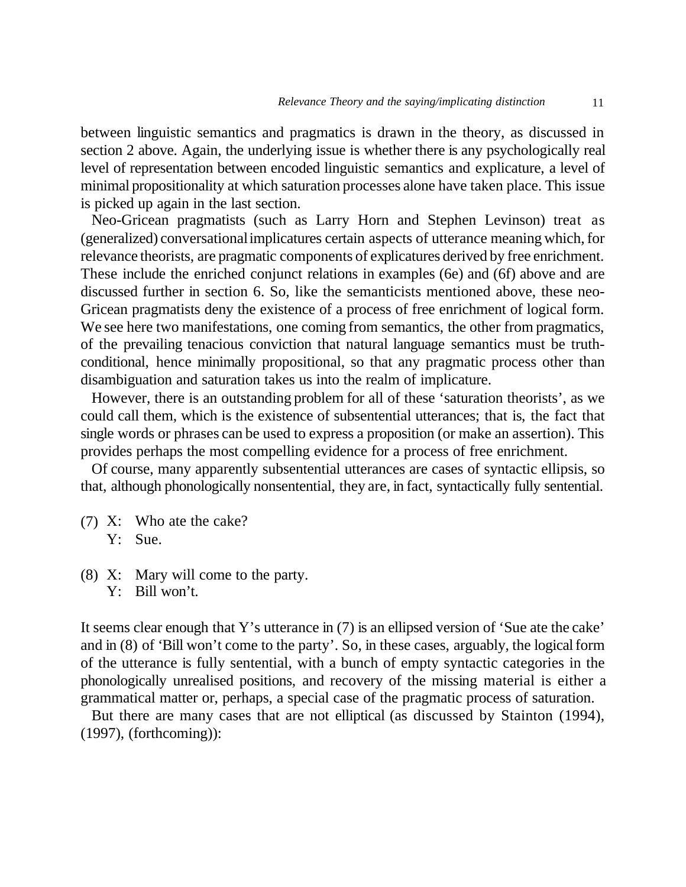between linguistic semantics and pragmatics is drawn in the theory, as discussed in section 2 above. Again, the underlying issue is whether there is any psychologically real level of representation between encoded linguistic semantics and explicature, a level of minimal propositionality at which saturation processes alone have taken place. This issue is picked up again in the last section.

Neo-Gricean pragmatists (such as Larry Horn and Stephen Levinson) treat as (generalized) conversational implicatures certain aspects of utterance meaning which, for relevance theorists, are pragmatic components of explicatures derived by free enrichment. These include the enriched conjunct relations in examples (6e) and (6f) above and are discussed further in section 6. So, like the semanticists mentioned above, these neo-Gricean pragmatists deny the existence of a process of free enrichment of logical form. We see here two manifestations, one coming from semantics, the other from pragmatics, of the prevailing tenacious conviction that natural language semantics must be truthconditional, hence minimally propositional, so that any pragmatic process other than disambiguation and saturation takes us into the realm of implicature.

However, there is an outstanding problem for all of these 'saturation theorists', as we could call them, which is the existence of subsentential utterances; that is, the fact that single words or phrases can be used to express a proposition (or make an assertion). This provides perhaps the most compelling evidence for a process of free enrichment.

Of course, many apparently subsentential utterances are cases of syntactic ellipsis, so that, although phonologically nonsentential, they are, in fact, syntactically fully sentential.

- (7) X: Who ate the cake? Y: Sue.
- (8) X: Mary will come to the party. Y: Bill won't.

It seems clear enough that Y's utterance in (7) is an ellipsed version of 'Sue ate the cake' and in (8) of 'Bill won't come to the party'. So, in these cases, arguably, the logicalform of the utterance is fully sentential, with a bunch of empty syntactic categories in the phonologically unrealised positions, and recovery of the missing material is either a grammatical matter or, perhaps, a special case of the pragmatic process of saturation.

But there are many cases that are not elliptical (as discussed by Stainton (1994), (1997), (forthcoming)):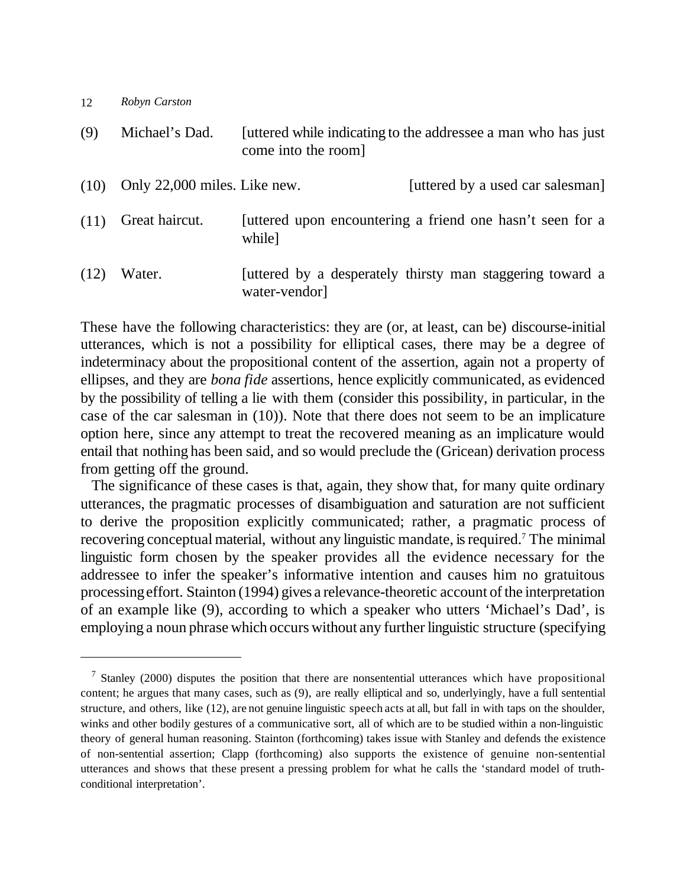| (9)  | Michael's Dad.               | come into the room | surface [4] [uttered while indicating to the addressee a man who has just |
|------|------------------------------|--------------------|---------------------------------------------------------------------------|
| (10) | Only 22,000 miles. Like new. |                    | [uttered by a used car salesman]                                          |
| (11) | Great haircut.               | while]             | futtered upon encountering a friend one hasn't seen for a                 |
| (12) | Water.                       | water-vendor]      | futtered by a desperately thirsty man staggering toward a                 |

These have the following characteristics: they are (or, at least, can be) discourse-initial utterances, which is not a possibility for elliptical cases, there may be a degree of indeterminacy about the propositional content of the assertion, again not a property of ellipses, and they are *bona fide* assertions, hence explicitly communicated, as evidenced by the possibility of telling a lie with them (consider this possibility, in particular, in the case of the car salesman in (10)). Note that there does not seem to be an implicature option here, since any attempt to treat the recovered meaning as an implicature would entail that nothing has been said, and so would preclude the (Gricean) derivation process from getting off the ground.

The significance of these cases is that, again, they show that, for many quite ordinary utterances, the pragmatic processes of disambiguation and saturation are not sufficient to derive the proposition explicitly communicated; rather, a pragmatic process of recovering conceptual material, without any linguistic mandate, is required.<sup>7</sup> The minimal linguistic form chosen by the speaker provides all the evidence necessary for the addressee to infer the speaker's informative intention and causes him no gratuitous processingeffort. Stainton (1994) gives a relevance-theoretic account of the interpretation of an example like (9), according to which a speaker who utters 'Michael's Dad', is employing a noun phrase which occurs without any further linguistic structure (specifying

<sup>&</sup>lt;sup>7</sup> Stanley (2000) disputes the position that there are nonsentential utterances which have propositional content; he argues that many cases, such as (9), are really elliptical and so, underlyingly, have a full sentential structure, and others, like (12), are not genuine linguistic speech acts at all, but fall in with taps on the shoulder, winks and other bodily gestures of a communicative sort, all of which are to be studied within a non-linguistic theory of general human reasoning. Stainton (forthcoming) takes issue with Stanley and defends the existence of non-sentential assertion; Clapp (forthcoming) also supports the existence of genuine non-sentential utterances and shows that these present a pressing problem for what he calls the 'standard model of truthconditional interpretation'.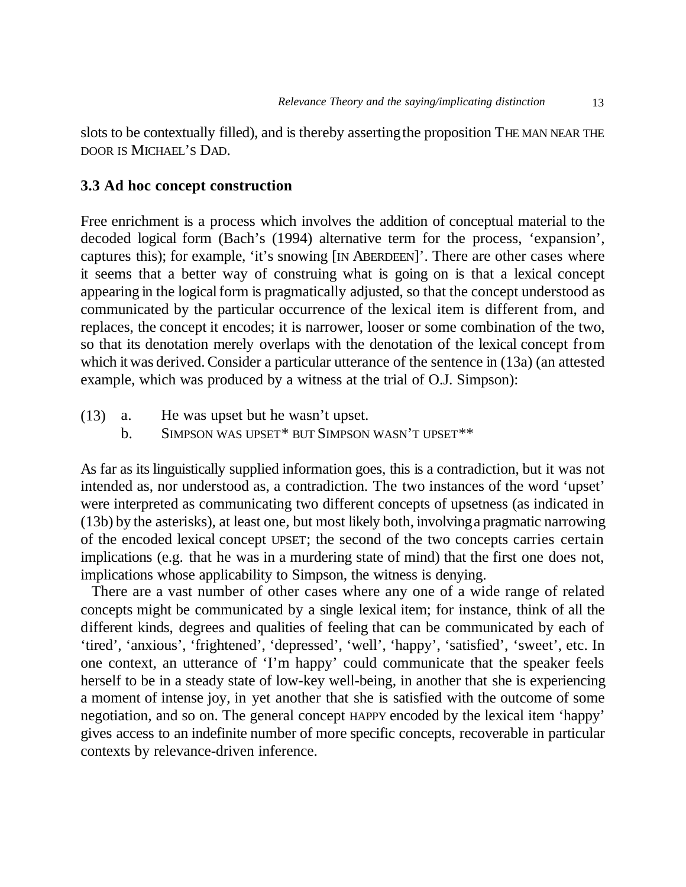slots to be contextually filled), and is thereby asserting the proposition THE MAN NEAR THE DOOR IS MICHAEL'S DAD.

# **3.3 Ad hoc concept construction**

Free enrichment is a process which involves the addition of conceptual material to the decoded logical form (Bach's (1994) alternative term for the process, 'expansion', captures this); for example, 'it's snowing [IN ABERDEEN]'. There are other cases where it seems that a better way of construing what is going on is that a lexical concept appearing in the logical form is pragmatically adjusted, so that the concept understood as communicated by the particular occurrence of the lexical item is different from, and replaces, the concept it encodes; it is narrower, looser or some combination of the two, so that its denotation merely overlaps with the denotation of the lexical concept from which it was derived. Consider a particular utterance of the sentence in  $(13a)$  (an attested example, which was produced by a witness at the trial of O.J. Simpson):

- (13) a. He was upset but he wasn't upset.
	- b. SIMPSON WAS UPSET\* BUT SIMPSON WASN'T UPSET\*\*

As far as its linguistically supplied information goes, this is a contradiction, but it was not intended as, nor understood as, a contradiction. The two instances of the word 'upset' were interpreted as communicating two different concepts of upsetness (as indicated in (13b) by the asterisks), at least one, but most likely both, involvinga pragmatic narrowing of the encoded lexical concept UPSET; the second of the two concepts carries certain implications (e.g. that he was in a murdering state of mind) that the first one does not, implications whose applicability to Simpson, the witness is denying.

There are a vast number of other cases where any one of a wide range of related concepts might be communicated by a single lexical item; for instance, think of all the different kinds, degrees and qualities of feeling that can be communicated by each of 'tired', 'anxious', 'frightened', 'depressed', 'well', 'happy', 'satisfied', 'sweet', etc. In one context, an utterance of 'I'm happy' could communicate that the speaker feels herself to be in a steady state of low-key well-being, in another that she is experiencing a moment of intense joy, in yet another that she is satisfied with the outcome of some negotiation, and so on. The general concept HAPPY encoded by the lexical item 'happy' gives access to an indefinite number of more specific concepts, recoverable in particular contexts by relevance-driven inference.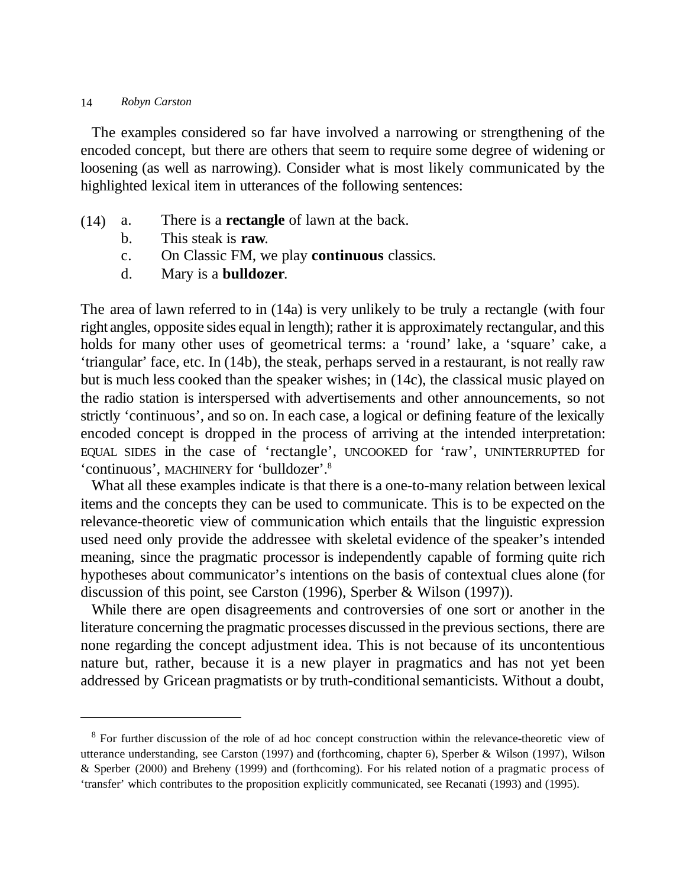The examples considered so far have involved a narrowing or strengthening of the encoded concept, but there are others that seem to require some degree of widening or loosening (as well as narrowing). Consider what is most likely communicated by the highlighted lexical item in utterances of the following sentences:

- (14) a. There is a **rectangle** of lawn at the back.
	- b. This steak is **raw**.
	- c. On Classic FM, we play **continuous** classics.
	- d. Mary is a **bulldozer**.

The area of lawn referred to in (14a) is very unlikely to be truly a rectangle (with four right angles, opposite sides equal in length); rather it is approximately rectangular, and this holds for many other uses of geometrical terms: a 'round' lake, a 'square' cake, a 'triangular' face, etc. In (14b), the steak, perhaps served in a restaurant, is not really raw but is much less cooked than the speaker wishes; in (14c), the classical music played on the radio station is interspersed with advertisements and other announcements, so not strictly 'continuous', and so on. In each case, a logical or defining feature of the lexically encoded concept is dropped in the process of arriving at the intended interpretation: EQUAL SIDES in the case of 'rectangle', UNCOOKED for 'raw', UNINTERRUPTED for 'continuous', MACHINERY for 'bulldozer'.<sup>8</sup>

What all these examples indicate is that there is a one-to-many relation between lexical items and the concepts they can be used to communicate. This is to be expected on the relevance-theoretic view of communication which entails that the linguistic expression used need only provide the addressee with skeletal evidence of the speaker's intended meaning, since the pragmatic processor is independently capable of forming quite rich hypotheses about communicator's intentions on the basis of contextual clues alone (for discussion of this point, see Carston (1996), Sperber & Wilson (1997)).

While there are open disagreements and controversies of one sort or another in the literature concerning the pragmatic processes discussed in the previous sections, there are none regarding the concept adjustment idea. This is not because of its uncontentious nature but, rather, because it is a new player in pragmatics and has not yet been addressed by Gricean pragmatists or by truth-conditionalsemanticists. Without a doubt,

 $8$  For further discussion of the role of ad hoc concept construction within the relevance-theoretic view of utterance understanding, see Carston (1997) and (forthcoming, chapter 6), Sperber & Wilson (1997), Wilson & Sperber (2000) and Breheny (1999) and (forthcoming). For his related notion of a pragmatic process of 'transfer' which contributes to the proposition explicitly communicated, see Recanati (1993) and (1995).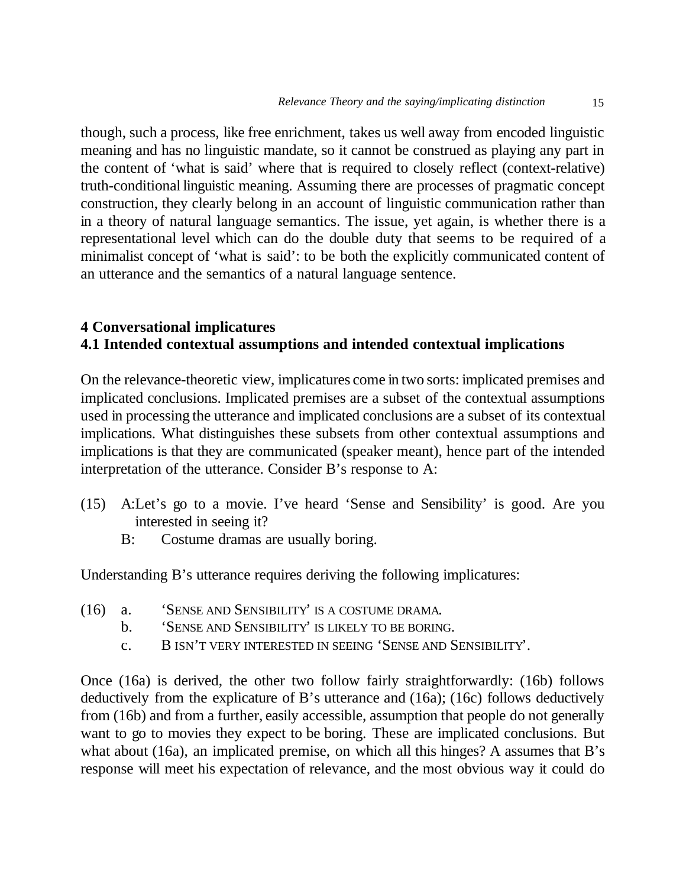though, such a process, like free enrichment, takes us well away from encoded linguistic meaning and has no linguistic mandate, so it cannot be construed as playing any part in the content of 'what is said' where that is required to closely reflect (context-relative) truth-conditional linguistic meaning. Assuming there are processes of pragmatic concept construction, they clearly belong in an account of linguistic communication rather than in a theory of natural language semantics. The issue, yet again, is whether there is a representational level which can do the double duty that seems to be required of a minimalist concept of 'what is said': to be both the explicitly communicated content of an utterance and the semantics of a natural language sentence.

# **4 Conversational implicatures 4.1 Intended contextual assumptions and intended contextual implications**

On the relevance-theoretic view, implicatures come in two sorts: implicated premises and implicated conclusions. Implicated premises are a subset of the contextual assumptions used in processing the utterance and implicated conclusions are a subset of its contextual implications. What distinguishes these subsets from other contextual assumptions and implications is that they are communicated (speaker meant), hence part of the intended interpretation of the utterance. Consider B's response to A:

- (15) A:Let's go to a movie. I've heard 'Sense and Sensibility' is good. Are you interested in seeing it?
	- B: Costume dramas are usually boring.

Understanding B's utterance requires deriving the following implicatures:

- (16) a. 'SENSE AND SENSIBILITY' IS A COSTUME DRAMA.
	- b. 'SENSE AND SENSIBILITY' IS LIKELY TO BE BORING.
	- c. B ISN'T VERY INTERESTED IN SEEING 'SENSE AND SENSIBILITY'.

Once (16a) is derived, the other two follow fairly straightforwardly: (16b) follows deductively from the explicature of B's utterance and (16a); (16c) follows deductively from (16b) and from a further, easily accessible, assumption that people do not generally want to go to movies they expect to be boring. These are implicated conclusions. But what about (16a), an implicated premise, on which all this hinges? A assumes that B's response will meet his expectation of relevance, and the most obvious way it could do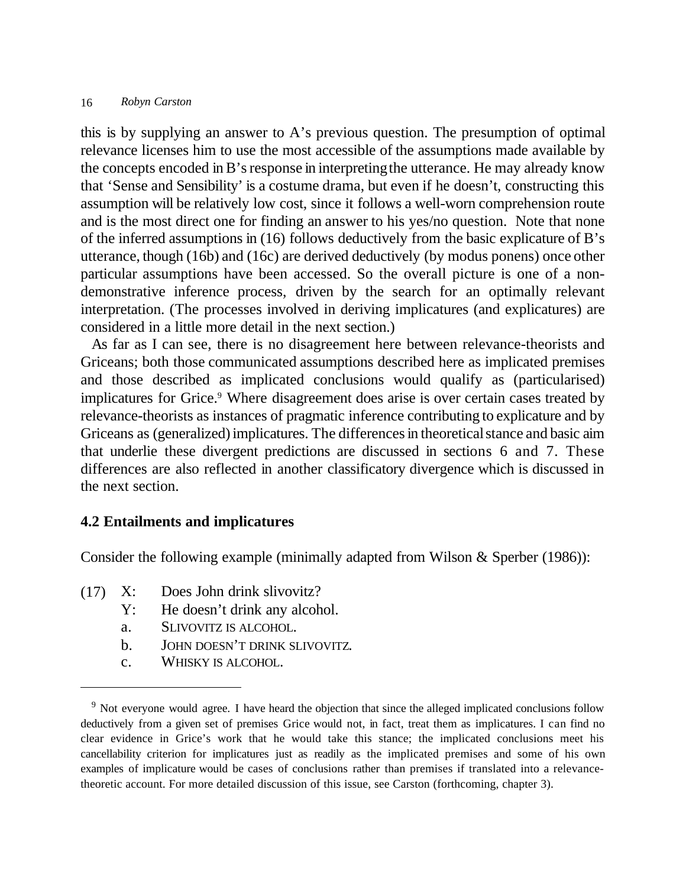this is by supplying an answer to A's previous question. The presumption of optimal relevance licenses him to use the most accessible of the assumptions made available by the concepts encoded in B's response in interpreting the utterance. He may already know that 'Sense and Sensibility' is a costume drama, but even if he doesn't, constructing this assumption will be relatively low cost, since it follows a well-worn comprehension route and is the most direct one for finding an answer to his yes/no question. Note that none of the inferred assumptions in (16) follows deductively from the basic explicature of B's utterance, though (16b) and (16c) are derived deductively (by modus ponens) once other particular assumptions have been accessed. So the overall picture is one of a nondemonstrative inference process, driven by the search for an optimally relevant interpretation. (The processes involved in deriving implicatures (and explicatures) are considered in a little more detail in the next section.)

As far as I can see, there is no disagreement here between relevance-theorists and Griceans; both those communicated assumptions described here as implicated premises and those described as implicated conclusions would qualify as (particularised) implicatures for Grice.<sup>9</sup> Where disagreement does arise is over certain cases treated by relevance-theorists as instances of pragmatic inference contributing to explicature and by Griceans as (generalized) implicatures. The differences in theoretical stance and basic aim that underlie these divergent predictions are discussed in sections 6 and 7. These differences are also reflected in another classificatory divergence which is discussed in the next section.

# **4.2 Entailments and implicatures**

Consider the following example (minimally adapted from Wilson & Sperber (1986)):

- (17) X: Does John drink slivovitz?
	- Y: He doesn't drink any alcohol.
	- a. SLIVOVITZ IS ALCOHOL.
	- b. JOHN DOESN'T DRINK SLIVOVITZ.
	- c. WHISKY IS ALCOHOL.

<sup>&</sup>lt;sup>9</sup> Not everyone would agree. I have heard the objection that since the alleged implicated conclusions follow deductively from a given set of premises Grice would not, in fact, treat them as implicatures. I can find no clear evidence in Grice's work that he would take this stance; the implicated conclusions meet his cancellability criterion for implicatures just as readily as the implicated premises and some of his own examples of implicature would be cases of conclusions rather than premises if translated into a relevancetheoretic account. For more detailed discussion of this issue, see Carston (forthcoming, chapter 3).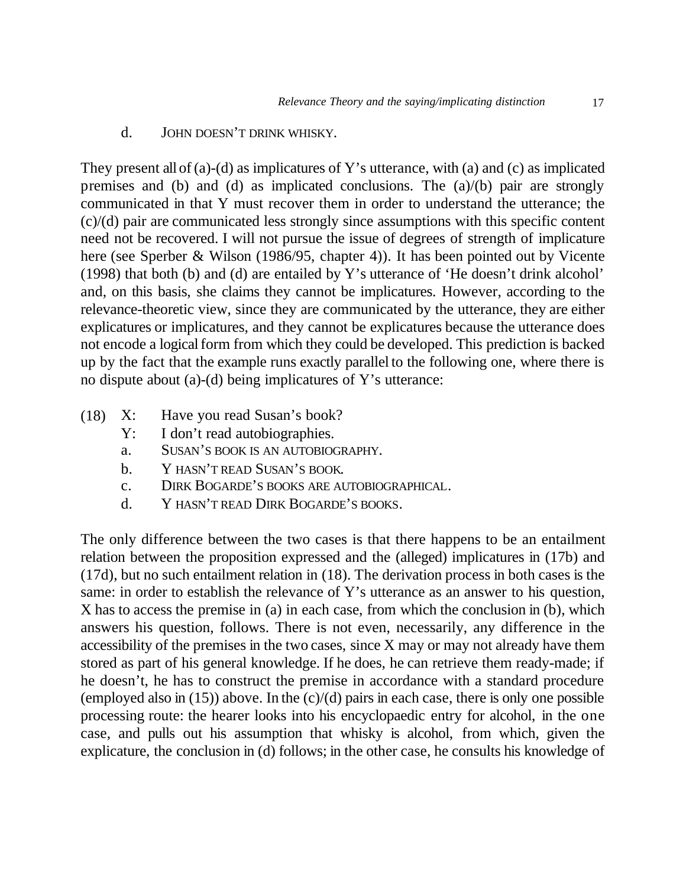## d. JOHN DOESN'T DRINK WHISKY.

They present all of (a)-(d) as implicatures of Y's utterance, with (a) and (c) as implicated premises and (b) and (d) as implicated conclusions. The (a)/(b) pair are strongly communicated in that Y must recover them in order to understand the utterance; the (c)/(d) pair are communicated less strongly since assumptions with this specific content need not be recovered. I will not pursue the issue of degrees of strength of implicature here (see Sperber & Wilson (1986/95, chapter 4)). It has been pointed out by Vicente (1998) that both (b) and (d) are entailed by Y's utterance of 'He doesn't drink alcohol' and, on this basis, she claims they cannot be implicatures. However, according to the relevance-theoretic view, since they are communicated by the utterance, they are either explicatures or implicatures, and they cannot be explicatures because the utterance does not encode a logical form from which they could be developed. This prediction is backed up by the fact that the example runs exactly parallel to the following one, where there is no dispute about (a)-(d) being implicatures of Y's utterance:

- (18) X: Have you read Susan's book?
	- Y: I don't read autobiographies.
	- a. SUSAN'S BOOK IS AN AUTOBIOGRAPHY.
	- b. Y HASN'T READ SUSAN'S BOOK.
	- c. DIRK BOGARDE'S BOOKS ARE AUTOBIOGRAPHICAL.
	- d. Y HASN'T READ DIRK BOGARDE'S BOOKS.

The only difference between the two cases is that there happens to be an entailment relation between the proposition expressed and the (alleged) implicatures in (17b) and (17d), but no such entailment relation in (18). The derivation process in both cases is the same: in order to establish the relevance of Y's utterance as an answer to his question, X has to access the premise in (a) in each case, from which the conclusion in (b), which answers his question, follows. There is not even, necessarily, any difference in the accessibility of the premises in the two cases, since X may or may not already have them stored as part of his general knowledge. If he does, he can retrieve them ready-made; if he doesn't, he has to construct the premise in accordance with a standard procedure (employed also in  $(15)$ ) above. In the  $(c)/(d)$  pairs in each case, there is only one possible processing route: the hearer looks into his encyclopaedic entry for alcohol, in the one case, and pulls out his assumption that whisky is alcohol, from which, given the explicature, the conclusion in (d) follows; in the other case, he consults his knowledge of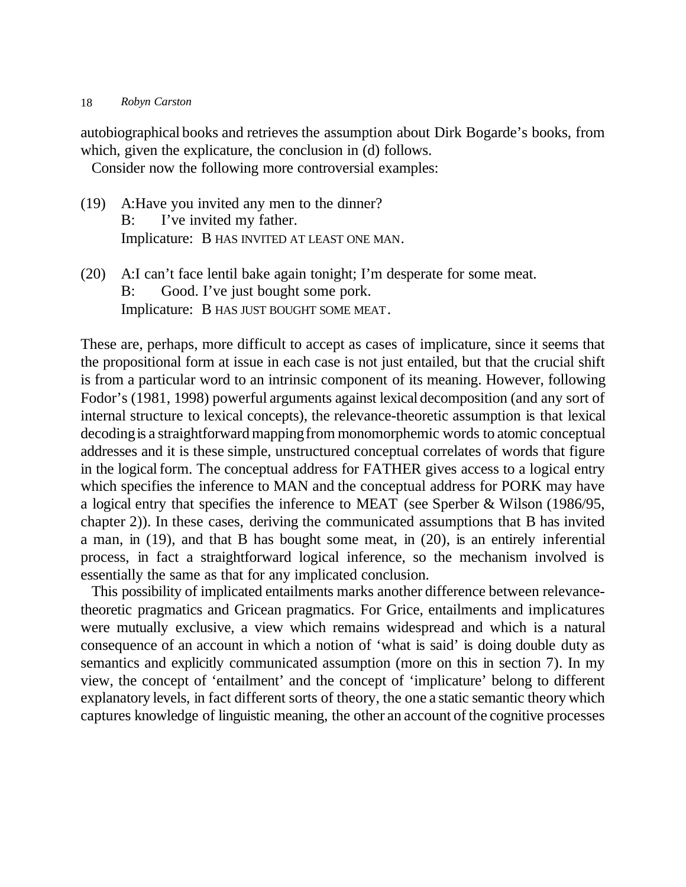autobiographical books and retrieves the assumption about Dirk Bogarde's books, from which, given the explicature, the conclusion in (d) follows.

Consider now the following more controversial examples:

- (19) A:Have you invited any men to the dinner? B: I've invited my father. Implicature: B HAS INVITED AT LEAST ONE MAN.
- (20) A:I can't face lentil bake again tonight; I'm desperate for some meat. B: Good. I've just bought some pork. Implicature: B HAS JUST BOUGHT SOME MEAT.

These are, perhaps, more difficult to accept as cases of implicature, since it seems that the propositional form at issue in each case is not just entailed, but that the crucial shift is from a particular word to an intrinsic component of its meaning. However, following Fodor's (1981, 1998) powerful arguments against lexical decomposition (and any sort of internal structure to lexical concepts), the relevance-theoretic assumption is that lexical decoding is a straightforward mapping from monomorphemic words to atomic conceptual addresses and it is these simple, unstructured conceptual correlates of words that figure in the logical form. The conceptual address for FATHER gives access to a logical entry which specifies the inference to MAN and the conceptual address for PORK may have a logical entry that specifies the inference to MEAT (see Sperber & Wilson (1986/95, chapter 2)). In these cases, deriving the communicated assumptions that B has invited a man, in (19), and that B has bought some meat, in (20), is an entirely inferential process, in fact a straightforward logical inference, so the mechanism involved is essentially the same as that for any implicated conclusion.

This possibility of implicated entailments marks another difference between relevancetheoretic pragmatics and Gricean pragmatics. For Grice, entailments and implicatures were mutually exclusive, a view which remains widespread and which is a natural consequence of an account in which a notion of 'what is said' is doing double duty as semantics and explicitly communicated assumption (more on this in section 7). In my view, the concept of 'entailment' and the concept of 'implicature' belong to different explanatory levels, in fact different sorts of theory, the one a static semantic theory which captures knowledge of linguistic meaning, the other an account of the cognitive processes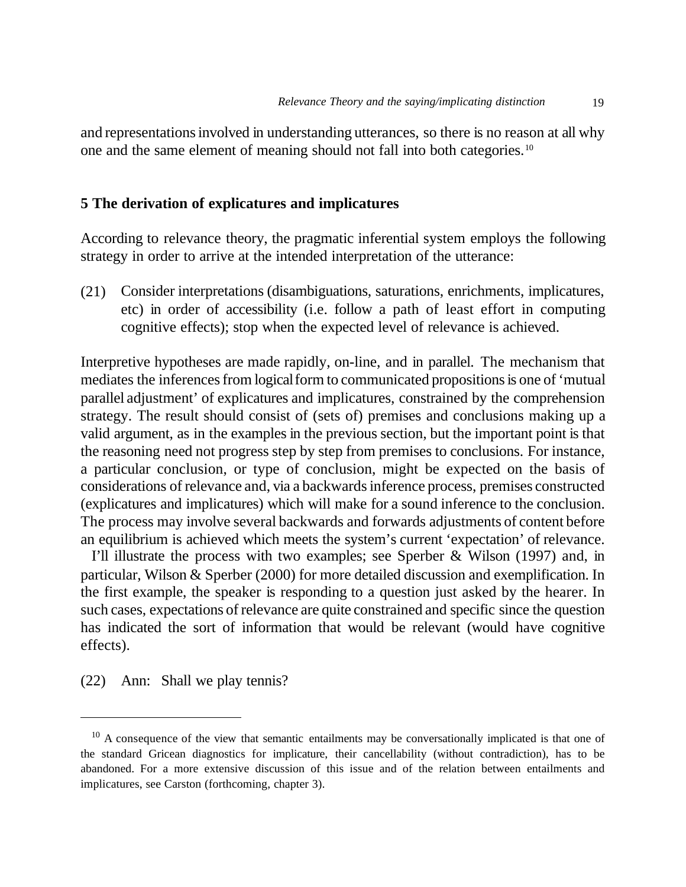and representations involved in understanding utterances, so there is no reason at all why one and the same element of meaning should not fall into both categories.<sup>10</sup>

## **5 The derivation of explicatures and implicatures**

According to relevance theory, the pragmatic inferential system employs the following strategy in order to arrive at the intended interpretation of the utterance:

(21) Consider interpretations (disambiguations, saturations, enrichments, implicatures, etc) in order of accessibility (i.e. follow a path of least effort in computing cognitive effects); stop when the expected level of relevance is achieved.

Interpretive hypotheses are made rapidly, on-line, and in parallel. The mechanism that mediates the inferences from logical form to communicated propositions is one of 'mutual parallel adjustment' of explicatures and implicatures, constrained by the comprehension strategy. The result should consist of (sets of) premises and conclusions making up a valid argument, as in the examples in the previous section, but the important point is that the reasoning need not progress step by step from premises to conclusions. For instance, a particular conclusion, or type of conclusion, might be expected on the basis of considerations of relevance and, via a backwardsinference process, premises constructed (explicatures and implicatures) which will make for a sound inference to the conclusion. The process may involve several backwards and forwards adjustments of content before an equilibrium is achieved which meets the system's current 'expectation' of relevance.

I'll illustrate the process with two examples; see Sperber & Wilson (1997) and, in particular, Wilson & Sperber (2000) for more detailed discussion and exemplification. In the first example, the speaker is responding to a question just asked by the hearer. In such cases, expectations of relevance are quite constrained and specific since the question has indicated the sort of information that would be relevant (would have cognitive effects).

(22) Ann: Shall we play tennis?

 $10$  A consequence of the view that semantic entailments may be conversationally implicated is that one of the standard Gricean diagnostics for implicature, their cancellability (without contradiction), has to be abandoned. For a more extensive discussion of this issue and of the relation between entailments and implicatures, see Carston (forthcoming, chapter 3).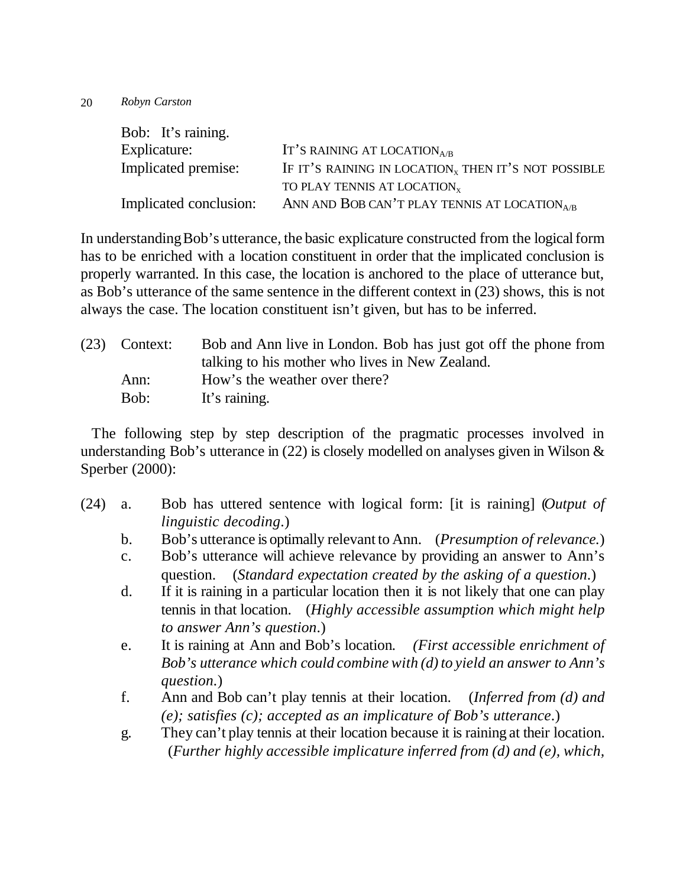| Bob: It's raining.     |                                                                 |
|------------------------|-----------------------------------------------------------------|
| Explicature:           | IT'S RAINING AT LOCATION <sub>A/B</sub>                         |
| Implicated premise:    | IF IT'S RAINING IN LOCATION <sub>x</sub> THEN IT'S NOT POSSIBLE |
|                        | TO PLAY TENNIS AT LOCATION <sub>Y</sub>                         |
| Implicated conclusion: | ANN AND BOB CAN'T PLAY TENNIS AT LOCATION <sub>A/B</sub>        |

In understanding Bob's utterance, the basic explicature constructed from the logical form has to be enriched with a location constituent in order that the implicated conclusion is properly warranted. In this case, the location is anchored to the place of utterance but, as Bob's utterance of the same sentence in the different context in (23) shows, this is not always the case. The location constituent isn't given, but has to be inferred.

| $(23)$ Context: | Bob and Ann live in London. Bob has just got off the phone from |
|-----------------|-----------------------------------------------------------------|
|                 | talking to his mother who lives in New Zealand.                 |
| Ann:            | How's the weather over there?                                   |
| Bob:            | It's raining.                                                   |

The following step by step description of the pragmatic processes involved in understanding Bob's utterance in  $(22)$  is closely modelled on analyses given in Wilson  $\&$ Sperber (2000):

- (24) a. Bob has uttered sentence with logical form: [it is raining] (*Output of linguistic decoding*.)
	- b. Bob's utterance is optimally relevant to Ann. (*Presumption of relevance.*)
	- c. Bob's utterance will achieve relevance by providing an answer to Ann's question. (*Standard expectation created by the asking of a question*.)
	- d. If it is raining in a particular location then it is not likely that one can play tennis in that location. (*Highly accessible assumption which might help to answer Ann's question*.)
	- e. It is raining at Ann and Bob's location*. (First accessible enrichment of Bob's utterance which could combine with (d) to yield an answer to Ann's question.*)
	- f. Ann and Bob can't play tennis at their location. (*Inferred from (d) and (e); satisfies (c); accepted as an implicature of Bob's utterance*.)
	- g. They can't play tennis at their location because it is raining at their location. (*Further highly accessible implicature inferred from (d) and (e), which,*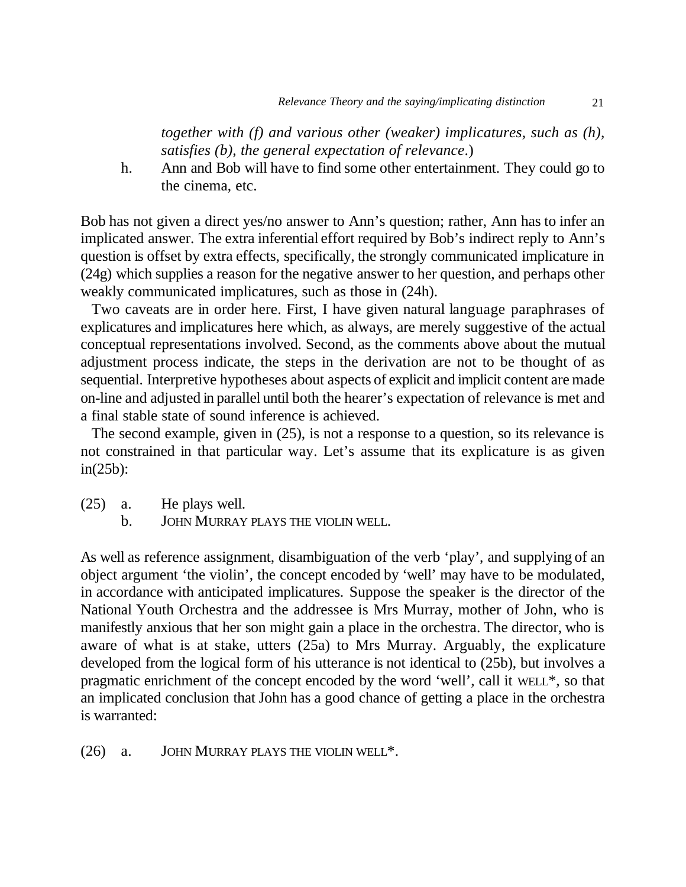*together with (f) and various other (weaker) implicatures, such as (h), satisfies (b), the general expectation of relevance*.)

h. Ann and Bob will have to find some other entertainment. They could go to the cinema, etc.

Bob has not given a direct yes/no answer to Ann's question; rather, Ann has to infer an implicated answer. The extra inferential effort required by Bob's indirect reply to Ann's question is offset by extra effects, specifically, the strongly communicated implicature in (24g) which supplies a reason for the negative answer to her question, and perhaps other weakly communicated implicatures, such as those in (24h).

Two caveats are in order here. First, I have given natural language paraphrases of explicatures and implicatures here which, as always, are merely suggestive of the actual conceptual representations involved. Second, as the comments above about the mutual adjustment process indicate, the steps in the derivation are not to be thought of as sequential. Interpretive hypotheses about aspects of explicit and implicit content are made on-line and adjusted in parallel until both the hearer's expectation of relevance is met and a final stable state of sound inference is achieved.

The second example, given in (25), is not a response to a question, so its relevance is not constrained in that particular way. Let's assume that its explicature is as given in(25b):

- (25) a. He plays well.
	- b. JOHN MURRAY PLAYS THE VIOLIN WELL.

As well as reference assignment, disambiguation of the verb 'play', and supplying of an object argument 'the violin', the concept encoded by 'well' may have to be modulated, in accordance with anticipated implicatures. Suppose the speaker is the director of the National Youth Orchestra and the addressee is Mrs Murray, mother of John, who is manifestly anxious that her son might gain a place in the orchestra. The director, who is aware of what is at stake, utters (25a) to Mrs Murray. Arguably, the explicature developed from the logical form of his utterance is not identical to (25b), but involves a pragmatic enrichment of the concept encoded by the word 'well', call it WELL\*, so that an implicated conclusion that John has a good chance of getting a place in the orchestra is warranted:

(26) a. JOHN MURRAY PLAYS THE VIOLIN WELL\*.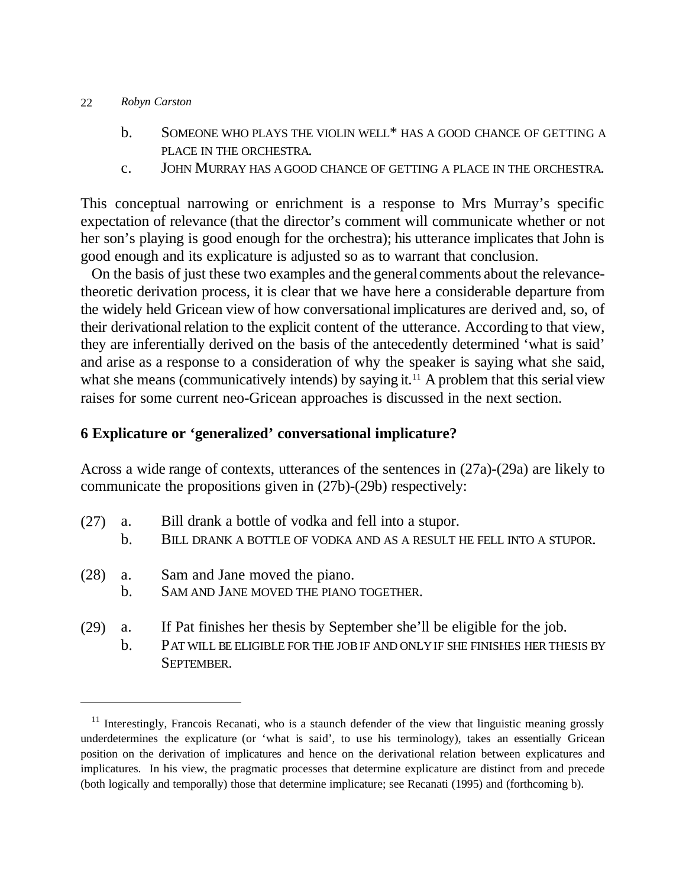- b. SOMEONE WHO PLAYS THE VIOLIN WELL\* HAS A GOOD CHANCE OF GETTING A PLACE IN THE ORCHESTRA.
- c. JOHN MURRAY HAS AGOOD CHANCE OF GETTING A PLACE IN THE ORCHESTRA.

This conceptual narrowing or enrichment is a response to Mrs Murray's specific expectation of relevance (that the director's comment will communicate whether or not her son's playing is good enough for the orchestra); his utterance implicates that John is good enough and its explicature is adjusted so as to warrant that conclusion.

On the basis of just these two examples and the generalcomments about the relevancetheoretic derivation process, it is clear that we have here a considerable departure from the widely held Gricean view of how conversational implicatures are derived and, so, of their derivational relation to the explicit content of the utterance. According to that view, they are inferentially derived on the basis of the antecedently determined 'what is said' and arise as a response to a consideration of why the speaker is saying what she said, what she means (communicatively intends) by saying it.<sup>11</sup> A problem that this serial view raises for some current neo-Gricean approaches is discussed in the next section.

# **6 Explicature or 'generalized' conversational implicature?**

Across a wide range of contexts, utterances of the sentences in (27a)-(29a) are likely to communicate the propositions given in (27b)-(29b) respectively:

(27) a. Bill drank a bottle of vodka and fell into a stupor. b. BILL DRANK A BOTTLE OF VODKA AND AS A RESULT HE FELL INTO A STUPOR. (28) a. Sam and Jane moved the piano. b. SAM AND JANE MOVED THE PIANO TOGETHER. (29) a. If Pat finishes her thesis by September she'll be eligible for the job. b. PAT WILL BE ELIGIBLE FOR THE JOBIF AND ONLYIF SHE FINISHES HERTHESIS BY SEPTEMBER.

 $11$  Interestingly, Francois Recanati, who is a staunch defender of the view that linguistic meaning grossly underdetermines the explicature (or 'what is said', to use his terminology), takes an essentially Gricean position on the derivation of implicatures and hence on the derivational relation between explicatures and implicatures. In his view, the pragmatic processes that determine explicature are distinct from and precede (both logically and temporally) those that determine implicature; see Recanati (1995) and (forthcoming b).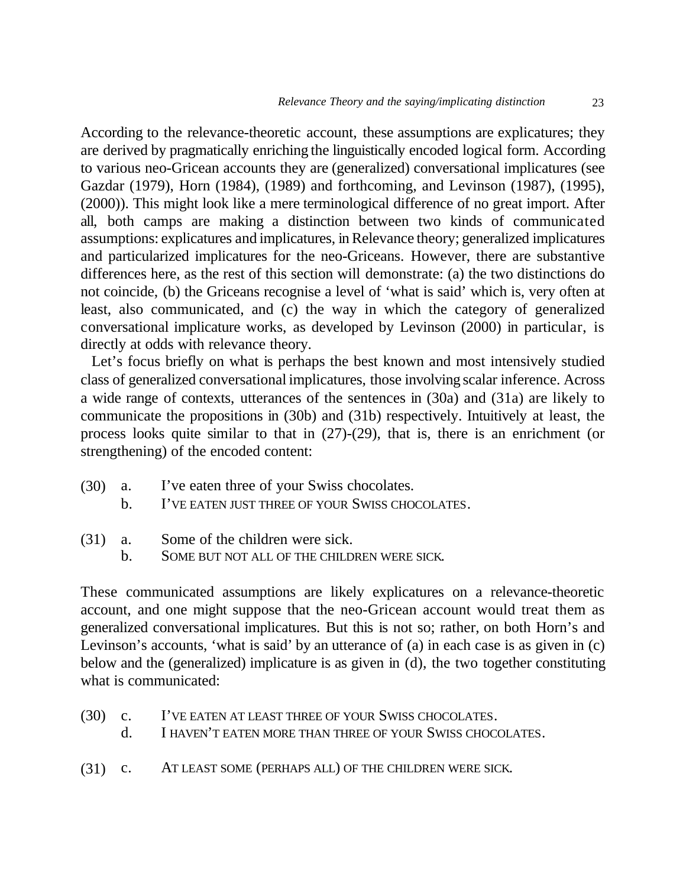According to the relevance-theoretic account, these assumptions are explicatures; they are derived by pragmatically enriching the linguistically encoded logical form. According to various neo-Gricean accounts they are (generalized) conversational implicatures (see Gazdar (1979), Horn (1984), (1989) and forthcoming, and Levinson (1987), (1995), (2000)). This might look like a mere terminological difference of no great import. After all, both camps are making a distinction between two kinds of communicated assumptions: explicatures and implicatures, inRelevance theory; generalized implicatures and particularized implicatures for the neo-Griceans. However, there are substantive differences here, as the rest of this section will demonstrate: (a) the two distinctions do not coincide, (b) the Griceans recognise a level of 'what is said' which is, very often at least, also communicated, and (c) the way in which the category of generalized conversational implicature works, as developed by Levinson (2000) in particular, is directly at odds with relevance theory.

Let's focus briefly on what is perhaps the best known and most intensively studied class of generalized conversational implicatures, those involving scalar inference. Across a wide range of contexts, utterances of the sentences in (30a) and (31a) are likely to communicate the propositions in (30b) and (31b) respectively. Intuitively at least, the process looks quite similar to that in (27)-(29), that is, there is an enrichment (or strengthening) of the encoded content:

- (30) a. I've eaten three of your Swiss chocolates.
	- b. I'VE EATEN JUST THREE OF YOUR SWISS CHOCOLATES.
- (31) a. Some of the children were sick.
	- b. SOME BUT NOT ALL OF THE CHILDREN WERE SICK.

These communicated assumptions are likely explicatures on a relevance-theoretic account, and one might suppose that the neo-Gricean account would treat them as generalized conversational implicatures. But this is not so; rather, on both Horn's and Levinson's accounts, 'what is said' by an utterance of (a) in each case is as given in (c) below and the (generalized) implicature is as given in (d), the two together constituting what is communicated:

- (30) c. I'VE EATEN AT LEAST THREE OF YOUR SWISS CHOCOLATES.
	- d. I HAVEN'T EATEN MORE THAN THREE OF YOUR SWISS CHOCOLATES.
- (31) c. AT LEAST SOME (PERHAPS ALL) OF THE CHILDREN WERE SICK.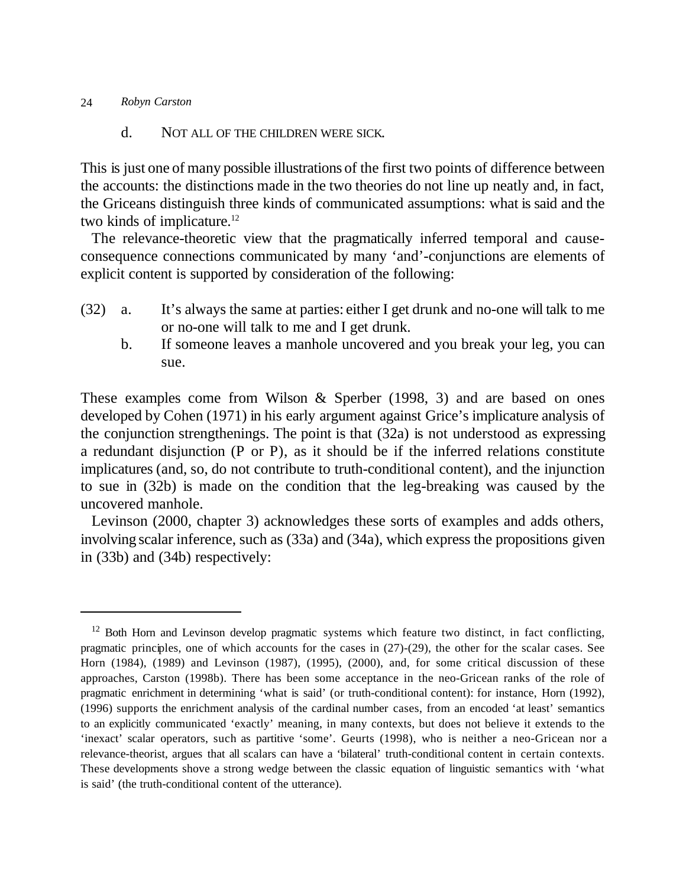## d. NOT ALL OF THE CHILDREN WERE SICK.

This is just one of many possible illustrations of the first two points of difference between the accounts: the distinctions made in the two theories do not line up neatly and, in fact, the Griceans distinguish three kinds of communicated assumptions: what is said and the two kinds of implicature.<sup>12</sup>

The relevance-theoretic view that the pragmatically inferred temporal and causeconsequence connections communicated by many 'and'-conjunctions are elements of explicit content is supported by consideration of the following:

- (32) a. It's always the same at parties: either I get drunk and no-one will talk to me or no-one will talk to me and I get drunk.
	- b. If someone leaves a manhole uncovered and you break your leg, you can sue.

These examples come from Wilson & Sperber (1998, 3) and are based on ones developed by Cohen (1971) in his early argument against Grice's implicature analysis of the conjunction strengthenings. The point is that (32a) is not understood as expressing a redundant disjunction (P or P), as it should be if the inferred relations constitute implicatures (and, so, do not contribute to truth-conditional content), and the injunction to sue in (32b) is made on the condition that the leg-breaking was caused by the uncovered manhole.

Levinson (2000, chapter 3) acknowledges these sorts of examples and adds others, involving scalar inference, such as (33a) and (34a), which express the propositions given in (33b) and (34b) respectively:

<sup>&</sup>lt;sup>12</sup> Both Horn and Levinson develop pragmatic systems which feature two distinct, in fact conflicting, pragmatic principles, one of which accounts for the cases in  $(27)-(29)$ , the other for the scalar cases. See Horn (1984), (1989) and Levinson (1987), (1995), (2000), and, for some critical discussion of these approaches, Carston (1998b). There has been some acceptance in the neo-Gricean ranks of the role of pragmatic enrichment in determining 'what is said' (or truth-conditional content): for instance, Horn (1992), (1996) supports the enrichment analysis of the cardinal number cases, from an encoded 'at least' semantics to an explicitly communicated 'exactly' meaning, in many contexts, but does not believe it extends to the 'inexact' scalar operators, such as partitive 'some'. Geurts (1998), who is neither a neo-Gricean nor a relevance-theorist, argues that all scalars can have a 'bilateral' truth-conditional content in certain contexts. These developments shove a strong wedge between the classic equation of linguistic semantics with 'what is said' (the truth-conditional content of the utterance).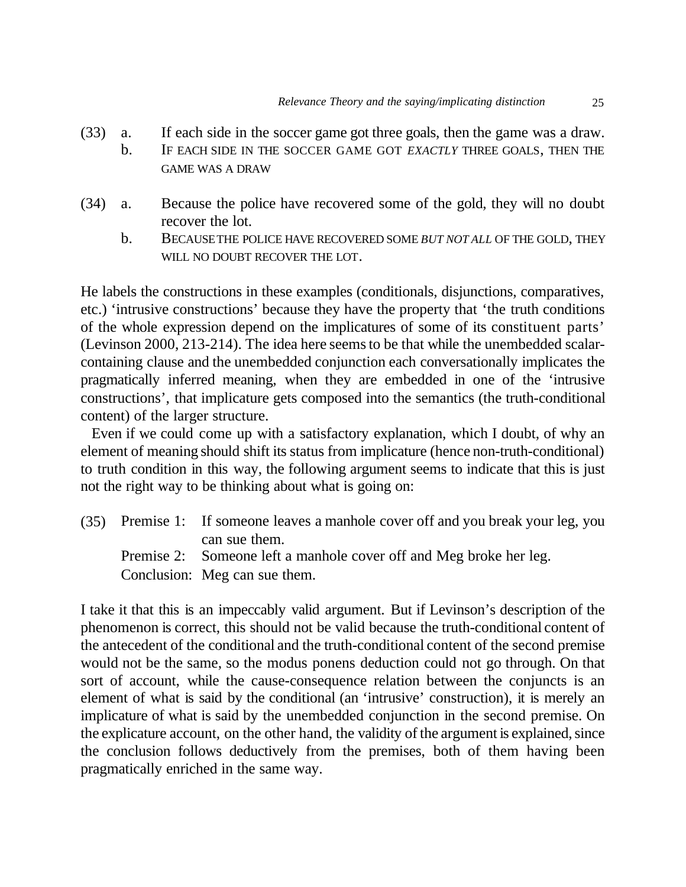- (33) a. If each side in the soccer game got three goals, then the game was a draw.
	- b. IF EACH SIDE IN THE SOCCER GAME GOT *EXACTLY* THREE GOALS, THEN THE GAME WAS A DRAW
- (34) a. Because the police have recovered some of the gold, they will no doubt recover the lot.
	- b. BECAUSETHE POLICE HAVE RECOVERED SOME *BUT NOT ALL* OF THE GOLD, THEY WILL NO DOUBT RECOVER THE LOT.

He labels the constructions in these examples (conditionals, disjunctions, comparatives, etc.) 'intrusive constructions' because they have the property that 'the truth conditions of the whole expression depend on the implicatures of some of its constituent parts' (Levinson 2000, 213-214). The idea here seemsto be that while the unembedded scalarcontaining clause and the unembedded conjunction each conversationally implicates the pragmatically inferred meaning, when they are embedded in one of the 'intrusive constructions', that implicature gets composed into the semantics (the truth-conditional content) of the larger structure.

Even if we could come up with a satisfactory explanation, which I doubt, of why an element of meaning should shift its status from implicature (hence non-truth-conditional) to truth condition in this way, the following argument seems to indicate that this is just not the right way to be thinking about what is going on:

(35) Premise 1: If someone leaves a manhole cover off and you break your leg, you can sue them. Premise 2: Someone left a manhole cover off and Meg broke her leg. Conclusion: Meg can sue them.

I take it that this is an impeccably valid argument. But if Levinson's description of the phenomenon is correct, this should not be valid because the truth-conditional content of the antecedent of the conditional and the truth-conditional content of the second premise would not be the same, so the modus ponens deduction could not go through. On that sort of account, while the cause-consequence relation between the conjuncts is an element of what is said by the conditional (an 'intrusive' construction), it is merely an implicature of what is said by the unembedded conjunction in the second premise. On the explicature account, on the other hand, the validity of the argument is explained, since the conclusion follows deductively from the premises, both of them having been pragmatically enriched in the same way.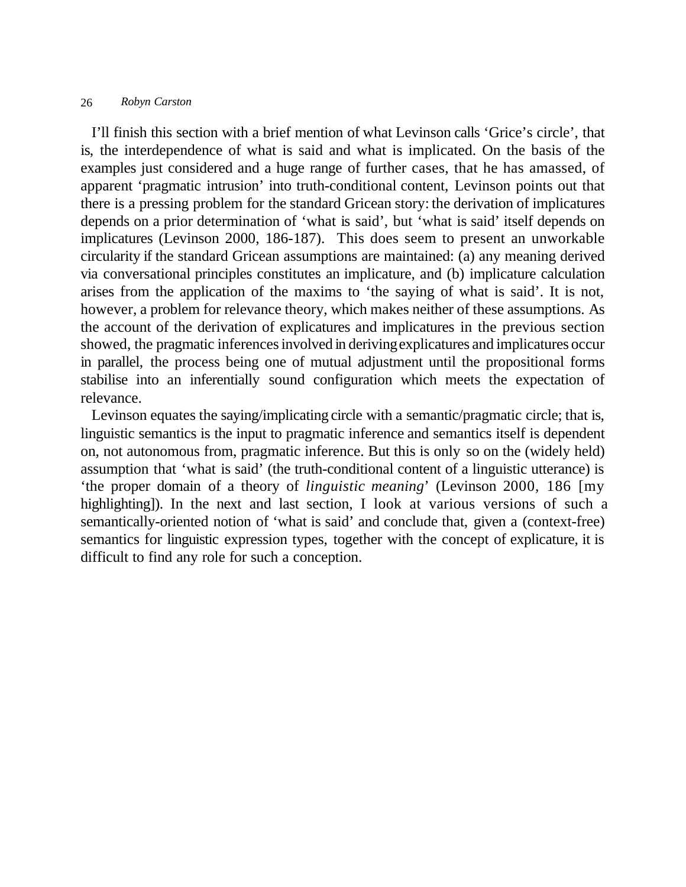I'll finish this section with a brief mention of what Levinson calls 'Grice's circle', that is, the interdependence of what is said and what is implicated. On the basis of the examples just considered and a huge range of further cases, that he has amassed, of apparent 'pragmatic intrusion' into truth-conditional content, Levinson points out that there is a pressing problem for the standard Gricean story: the derivation of implicatures depends on a prior determination of 'what is said', but 'what is said' itself depends on implicatures (Levinson 2000, 186-187). This does seem to present an unworkable circularity if the standard Gricean assumptions are maintained: (a) any meaning derived via conversational principles constitutes an implicature, and (b) implicature calculation arises from the application of the maxims to 'the saying of what is said'. It is not, however, a problem for relevance theory, which makes neither of these assumptions. As the account of the derivation of explicatures and implicatures in the previous section showed, the pragmatic inferences involved in deriving explicatures and implicatures occur in parallel, the process being one of mutual adjustment until the propositional forms stabilise into an inferentially sound configuration which meets the expectation of relevance.

Levinson equates the saying/implicating circle with a semantic/pragmatic circle; that is, linguistic semantics is the input to pragmatic inference and semantics itself is dependent on, not autonomous from, pragmatic inference. But this is only so on the (widely held) assumption that 'what is said' (the truth-conditional content of a linguistic utterance) is 'the proper domain of a theory of *linguistic meaning*' (Levinson 2000, 186 [my highlighting]). In the next and last section, I look at various versions of such a semantically-oriented notion of 'what is said' and conclude that, given a (context-free) semantics for linguistic expression types, together with the concept of explicature, it is difficult to find any role for such a conception.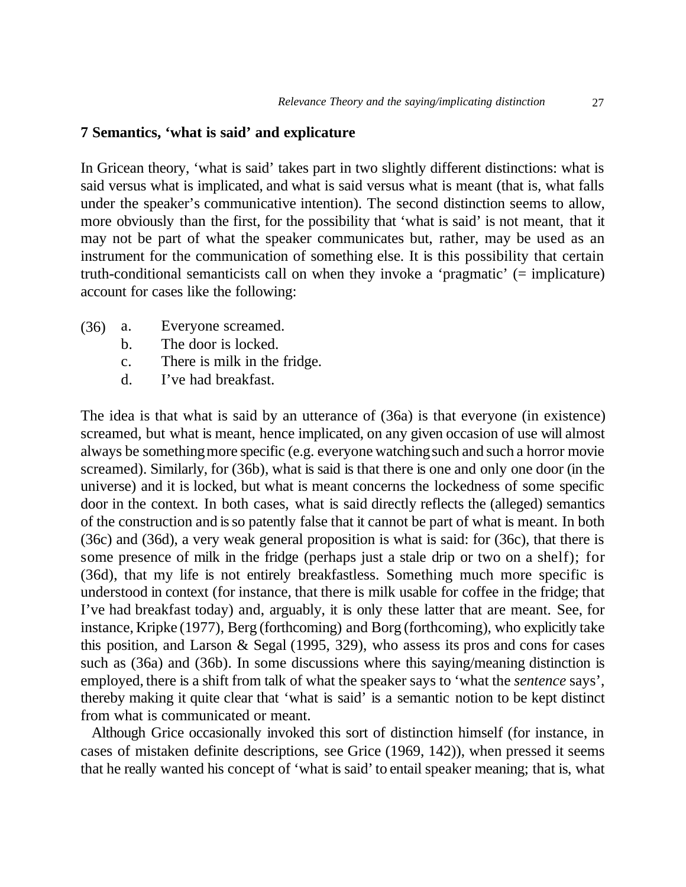## **7 Semantics, 'what is said' and explicature**

In Gricean theory, 'what is said' takes part in two slightly different distinctions: what is said versus what is implicated, and what is said versus what is meant (that is, what falls under the speaker's communicative intention). The second distinction seems to allow, more obviously than the first, for the possibility that 'what is said' is not meant, that it may not be part of what the speaker communicates but, rather, may be used as an instrument for the communication of something else. It is this possibility that certain truth-conditional semanticists call on when they invoke a 'pragmatic' (= implicature) account for cases like the following:

- (36) a. Everyone screamed.
	- b. The door is locked.
	- c. There is milk in the fridge.
	- d. I've had breakfast.

The idea is that what is said by an utterance of (36a) is that everyone (in existence) screamed, but what is meant, hence implicated, on any given occasion of use will almost always be somethingmore specific (e.g. everyone watchingsuch and such a horror movie screamed). Similarly, for (36b), what is said is that there is one and only one door (in the universe) and it is locked, but what is meant concerns the lockedness of some specific door in the context. In both cases, what is said directly reflects the (alleged) semantics of the construction and isso patently false that it cannot be part of what is meant. In both (36c) and (36d), a very weak general proposition is what is said: for (36c), that there is some presence of milk in the fridge (perhaps just a stale drip or two on a shelf); for (36d), that my life is not entirely breakfastless. Something much more specific is understood in context (for instance, that there is milk usable for coffee in the fridge; that I've had breakfast today) and, arguably, it is only these latter that are meant. See, for instance, Kripke (1977), Berg (forthcoming) and Borg (forthcoming), who explicitly take this position, and Larson & Segal (1995, 329), who assess its pros and cons for cases such as (36a) and (36b). In some discussions where this saying/meaning distinction is employed, there is a shift from talk of what the speaker says to 'what the *sentence* says', thereby making it quite clear that 'what is said' is a semantic notion to be kept distinct from what is communicated or meant.

Although Grice occasionally invoked this sort of distinction himself (for instance, in cases of mistaken definite descriptions, see Grice (1969, 142)), when pressed it seems that he really wanted his concept of 'what is said'to entail speaker meaning; that is, what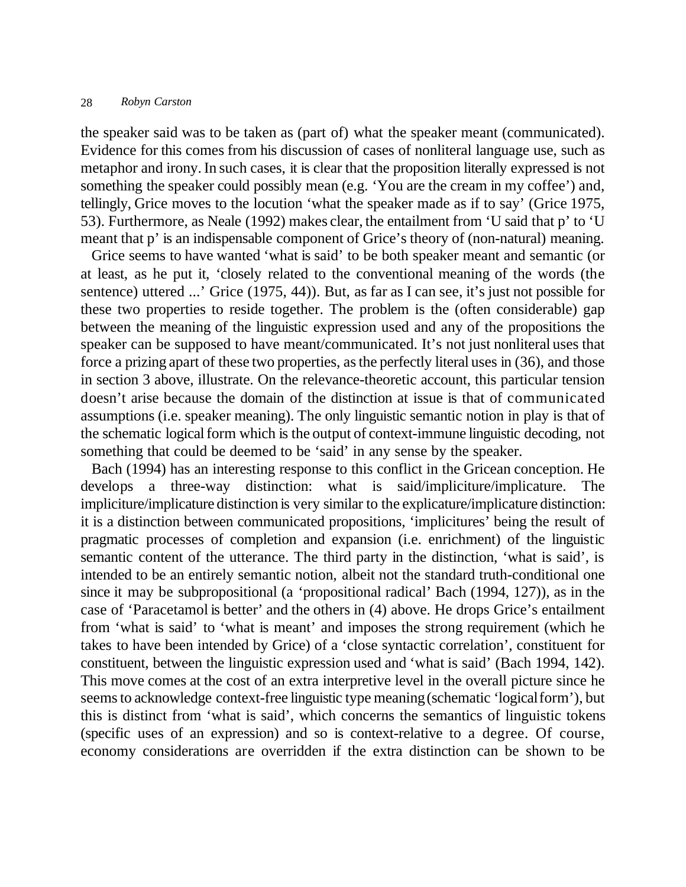the speaker said was to be taken as (part of) what the speaker meant (communicated). Evidence for this comes from his discussion of cases of nonliteral language use, such as metaphor and irony. In such cases, it is clear that the proposition literally expressed is not something the speaker could possibly mean (e.g. 'You are the cream in my coffee') and, tellingly, Grice moves to the locution 'what the speaker made as if to say' (Grice 1975, 53). Furthermore, as Neale (1992) makes clear, the entailment from 'U said that p' to 'U meant that p' is an indispensable component of Grice's theory of (non-natural) meaning.

Grice seems to have wanted 'what is said' to be both speaker meant and semantic (or at least, as he put it, 'closely related to the conventional meaning of the words (the sentence) uttered ...' Grice (1975, 44)). But, as far as I can see, it's just not possible for these two properties to reside together. The problem is the (often considerable) gap between the meaning of the linguistic expression used and any of the propositions the speaker can be supposed to have meant/communicated. It's not just nonliteral uses that force a prizing apart of these two properties, asthe perfectly literal uses in (36), and those in section 3 above, illustrate. On the relevance-theoretic account, this particular tension doesn't arise because the domain of the distinction at issue is that of communicated assumptions (i.e. speaker meaning). The only linguistic semantic notion in play is that of the schematic logical form which is the output of context-immune linguistic decoding, not something that could be deemed to be 'said' in any sense by the speaker.

Bach (1994) has an interesting response to this conflict in the Gricean conception. He develops a three-way distinction: what is said/impliciture/implicature. The impliciture/implicature distinction is very similar to the explicature/implicature distinction: it is a distinction between communicated propositions, 'implicitures' being the result of pragmatic processes of completion and expansion (i.e. enrichment) of the linguistic semantic content of the utterance. The third party in the distinction, 'what is said', is intended to be an entirely semantic notion, albeit not the standard truth-conditional one since it may be subpropositional (a 'propositional radical' Bach (1994, 127)), as in the case of 'Paracetamol is better' and the others in (4) above. He drops Grice's entailment from 'what is said' to 'what is meant' and imposes the strong requirement (which he takes to have been intended by Grice) of a 'close syntactic correlation', constituent for constituent, between the linguistic expression used and 'what is said' (Bach 1994, 142). This move comes at the cost of an extra interpretive level in the overall picture since he seemsto acknowledge context-free linguistic type meaning(schematic 'logicalform'), but this is distinct from 'what is said', which concerns the semantics of linguistic tokens (specific uses of an expression) and so is context-relative to a degree. Of course, economy considerations are overridden if the extra distinction can be shown to be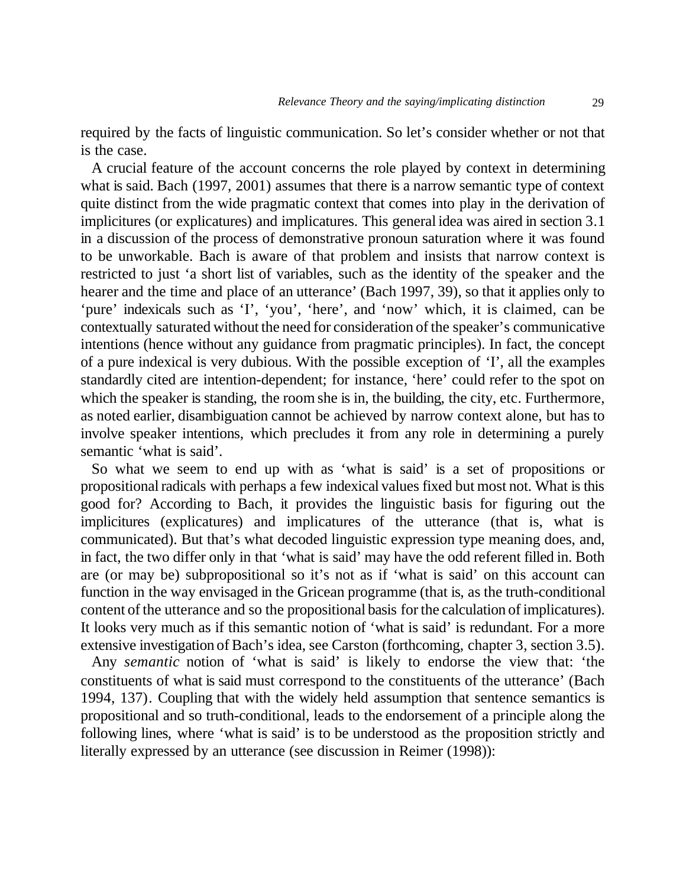required by the facts of linguistic communication. So let's consider whether or not that is the case.

A crucial feature of the account concerns the role played by context in determining what is said. Bach (1997, 2001) assumes that there is a narrow semantic type of context quite distinct from the wide pragmatic context that comes into play in the derivation of implicitures (or explicatures) and implicatures. This general idea was aired in section 3.1 in a discussion of the process of demonstrative pronoun saturation where it was found to be unworkable. Bach is aware of that problem and insists that narrow context is restricted to just 'a short list of variables, such as the identity of the speaker and the hearer and the time and place of an utterance' (Bach 1997, 39), so that it applies only to 'pure' indexicals such as 'I', 'you', 'here', and 'now' which, it is claimed, can be contextually saturated without the need for consideration of the speaker's communicative intentions (hence without any guidance from pragmatic principles). In fact, the concept of a pure indexical is very dubious. With the possible exception of 'I', all the examples standardly cited are intention-dependent; for instance, 'here' could refer to the spot on which the speaker is standing, the room she is in, the building, the city, etc. Furthermore, as noted earlier, disambiguation cannot be achieved by narrow context alone, but has to involve speaker intentions, which precludes it from any role in determining a purely semantic 'what is said'.

So what we seem to end up with as 'what is said' is a set of propositions or propositional radicals with perhaps a few indexical values fixed but most not. What is this good for? According to Bach, it provides the linguistic basis for figuring out the implicitures (explicatures) and implicatures of the utterance (that is, what is communicated). But that's what decoded linguistic expression type meaning does, and, in fact, the two differ only in that 'what is said' may have the odd referent filled in. Both are (or may be) subpropositional so it's not as if 'what is said' on this account can function in the way envisaged in the Gricean programme (that is, as the truth-conditional content of the utterance and so the propositional basis for the calculation of implicatures). It looks very much as if this semantic notion of 'what is said' is redundant. For a more extensive investigation of Bach's idea, see Carston (forthcoming, chapter 3, section 3.5).

Any *semantic* notion of 'what is said' is likely to endorse the view that: 'the constituents of what is said must correspond to the constituents of the utterance' (Bach 1994, 137). Coupling that with the widely held assumption that sentence semantics is propositional and so truth-conditional, leads to the endorsement of a principle along the following lines, where 'what is said' is to be understood as the proposition strictly and literally expressed by an utterance (see discussion in Reimer (1998)):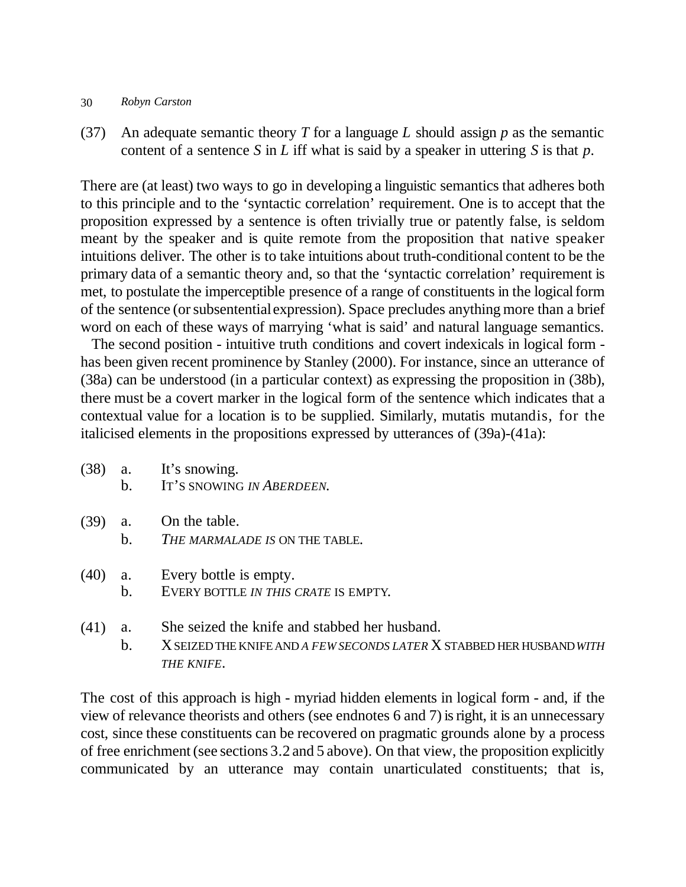(37) An adequate semantic theory *T* for a language *L* should assign *p* as the semantic content of a sentence *S* in *L* iff what is said by a speaker in uttering *S* is that *p*.

There are (at least) two ways to go in developing a linguistic semantics that adheres both to this principle and to the 'syntactic correlation' requirement. One is to accept that the proposition expressed by a sentence is often trivially true or patently false, is seldom meant by the speaker and is quite remote from the proposition that native speaker intuitions deliver. The other is to take intuitions about truth-conditional content to be the primary data of a semantic theory and, so that the 'syntactic correlation' requirement is met, to postulate the imperceptible presence of a range of constituents in the logicalform of the sentence (orsubsententialexpression). Space precludes anything more than a brief word on each of these ways of marrying 'what is said' and natural language semantics.

The second position - intuitive truth conditions and covert indexicals in logical form has been given recent prominence by Stanley (2000). For instance, since an utterance of (38a) can be understood (in a particular context) as expressing the proposition in (38b), there must be a covert marker in the logical form of the sentence which indicates that a contextual value for a location is to be supplied. Similarly, mutatis mutandis, for the italicised elements in the propositions expressed by utterances of (39a)-(41a):

- (38) a. It's snowing. b. IT'S SNOWING *IN ABERDEEN*.
- (39) a. On the table.
	- b. *THE MARMALADE IS* ON THE TABLE.
- (40) a. Every bottle is empty.
	- b. EVERY BOTTLE *IN THIS CRATE* IS EMPTY.
- (41) a. She seized the knife and stabbed her husband.
	- b. XSEIZEDTHE KNIFEAND *A FEW SECONDS LATER* X STABBED HER HUSBAND*WITH THE KNIFE*.

The cost of this approach is high - myriad hidden elements in logical form - and, if the view of relevance theorists and others (see endnotes 6 and 7) is right, it is an unnecessary cost, since these constituents can be recovered on pragmatic grounds alone by a process of free enrichment(see sections 3.2 and 5 above). On that view, the proposition explicitly communicated by an utterance may contain unarticulated constituents; that is,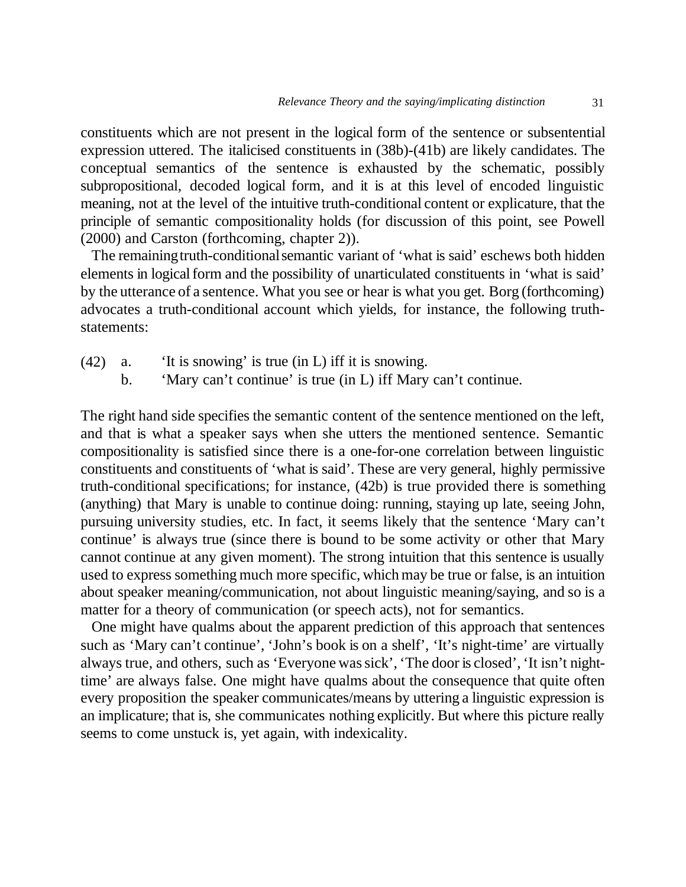constituents which are not present in the logical form of the sentence or subsentential expression uttered. The italicised constituents in (38b)-(41b) are likely candidates. The conceptual semantics of the sentence is exhausted by the schematic, possibly subpropositional, decoded logical form, and it is at this level of encoded linguistic meaning, not at the level of the intuitive truth-conditional content or explicature, that the principle of semantic compositionality holds (for discussion of this point, see Powell (2000) and Carston (forthcoming, chapter 2)).

The remaining truth-conditional semantic variant of 'what is said' eschews both hidden elements in logical form and the possibility of unarticulated constituents in 'what is said' by the utterance of a sentence. What you see or hear is what you get. Borg (forthcoming) advocates a truth-conditional account which yields, for instance, the following truthstatements:

- (42) a. 'It is snowing' is true (in L) iff it is snowing.
	- b. 'Mary can't continue' is true (in L) iff Mary can't continue.

The right hand side specifies the semantic content of the sentence mentioned on the left, and that is what a speaker says when she utters the mentioned sentence. Semantic compositionality is satisfied since there is a one-for-one correlation between linguistic constituents and constituents of 'what is said'. These are very general, highly permissive truth-conditional specifications; for instance, (42b) is true provided there is something (anything) that Mary is unable to continue doing: running, staying up late, seeing John, pursuing university studies, etc. In fact, it seems likely that the sentence 'Mary can't continue' is always true (since there is bound to be some activity or other that Mary cannot continue at any given moment). The strong intuition that this sentence is usually used to express something much more specific, which may be true or false, is an intuition about speaker meaning/communication, not about linguistic meaning/saying, and so is a matter for a theory of communication (or speech acts), not for semantics.

One might have qualms about the apparent prediction of this approach that sentences such as 'Mary can't continue', 'John's book is on a shelf', 'It's night-time' are virtually always true, and others, such as 'Everyone was sick', 'The door is closed', 'It isn't nighttime' are always false. One might have qualms about the consequence that quite often every proposition the speaker communicates/means by uttering a linguistic expression is an implicature; that is, she communicates nothing explicitly. But where this picture really seems to come unstuck is, yet again, with indexicality.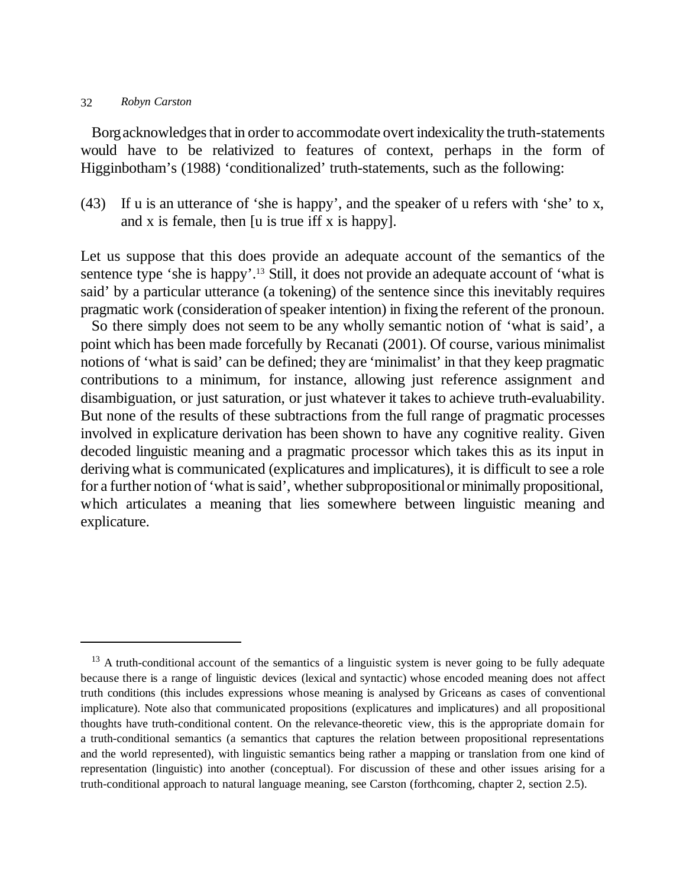Borg acknowledges that in order to accommodate overt indexicality the truth-statements would have to be relativized to features of context, perhaps in the form of Higginbotham's (1988) 'conditionalized' truth-statements, such as the following:

(43) If u is an utterance of 'she is happy', and the speaker of u refers with 'she' to x, and x is female, then [u is true iff x is happy].

Let us suppose that this does provide an adequate account of the semantics of the sentence type 'she is happy'.<sup>13</sup> Still, it does not provide an adequate account of 'what is said' by a particular utterance (a tokening) of the sentence since this inevitably requires pragmatic work (consideration of speaker intention) in fixing the referent of the pronoun.

So there simply does not seem to be any wholly semantic notion of 'what is said', a point which has been made forcefully by Recanati (2001). Of course, various minimalist notions of 'what is said' can be defined; they are 'minimalist' in that they keep pragmatic contributions to a minimum, for instance, allowing just reference assignment and disambiguation, or just saturation, or just whatever it takes to achieve truth-evaluability. But none of the results of these subtractions from the full range of pragmatic processes involved in explicature derivation has been shown to have any cognitive reality. Given decoded linguistic meaning and a pragmatic processor which takes this as its input in deriving what is communicated (explicatures and implicatures), it is difficult to see a role for a further notion of 'what is said', whether subpropositional or minimally propositional, which articulates a meaning that lies somewhere between linguistic meaning and explicature.

<sup>&</sup>lt;sup>13</sup> A truth-conditional account of the semantics of a linguistic system is never going to be fully adequate because there is a range of linguistic devices (lexical and syntactic) whose encoded meaning does not affect truth conditions (this includes expressions whose meaning is analysed by Griceans as cases of conventional implicature). Note also that communicated propositions (explicatures and implicatures) and all propositional thoughts have truth-conditional content. On the relevance-theoretic view, this is the appropriate domain for a truth-conditional semantics (a semantics that captures the relation between propositional representations and the world represented), with linguistic semantics being rather a mapping or translation from one kind of representation (linguistic) into another (conceptual). For discussion of these and other issues arising for a truth-conditional approach to natural language meaning, see Carston (forthcoming, chapter 2, section 2.5).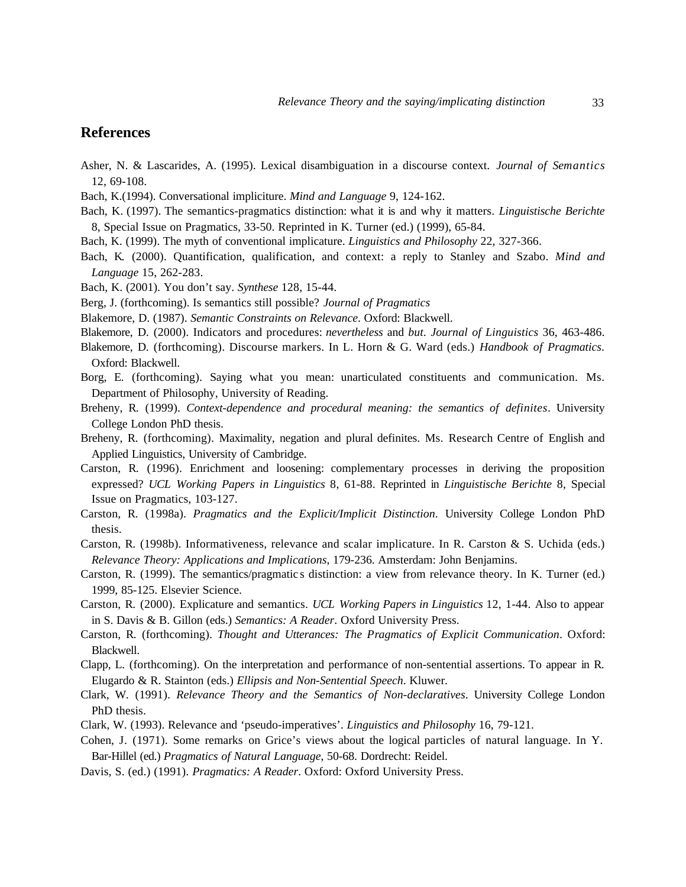## **References**

- Asher, N. & Lascarides, A. (1995). Lexical disambiguation in a discourse context. *Journal of Semantics* 12, 69-108.
- Bach, K.(1994). Conversational impliciture. *Mind and Language* 9, 124-162.
- Bach, K. (1997). The semantics-pragmatics distinction: what it is and why it matters. *Linguistische Berichte* 8, Special Issue on Pragmatics, 33-50. Reprinted in K. Turner (ed.) (1999), 65-84.
- Bach, K. (1999). The myth of conventional implicature. *Linguistics and Philosophy* 22, 327-366.
- Bach, K. (2000). Quantification, qualification, and context: a reply to Stanley and Szabo. *Mind and Language* 15, 262-283.
- Bach, K. (2001). You don't say. *Synthese* 128, 15-44.
- Berg, J. (forthcoming). Is semantics still possible? *Journal of Pragmatics*
- Blakemore, D. (1987). *Semantic Constraints on Relevance*. Oxford: Blackwell.
- Blakemore, D. (2000). Indicators and procedures: *nevertheless* and *but*. *Journal of Linguistics* 36, 463-486.
- Blakemore, D. (forthcoming). Discourse markers. In L. Horn & G. Ward (eds.) *Handbook of Pragmatics*. Oxford: Blackwell.
- Borg, E. (forthcoming). Saying what you mean: unarticulated constituents and communication. Ms. Department of Philosophy, University of Reading.
- Breheny, R. (1999). *Context-dependence and procedural meaning: the semantics of definites*. University College London PhD thesis.
- Breheny, R. (forthcoming). Maximality, negation and plural definites. Ms. Research Centre of English and Applied Linguistics, University of Cambridge.
- Carston, R. (1996). Enrichment and loosening: complementary processes in deriving the proposition expressed? *UCL Working Papers in Linguistics* 8, 61-88. Reprinted in *Linguistische Berichte* 8, Special Issue on Pragmatics, 103-127.
- Carston, R. (1998a). *Pragmatics and the Explicit/Implicit Distinction*. University College London PhD thesis.
- Carston, R. (1998b). Informativeness, relevance and scalar implicature. In R. Carston & S. Uchida (eds.) *Relevance Theory: Applications and Implications*, 179-236. Amsterdam: John Benjamins.
- Carston, R. (1999). The semantics/pragmatic s distinction: a view from relevance theory. In K. Turner (ed.) 1999, 85-125. Elsevier Science.
- Carston, R. (2000). Explicature and semantics. *UCL Working Papers in Linguistics* 12, 1-44. Also to appear in S. Davis & B. Gillon (eds.) *Semantics: A Reader*. Oxford University Press.
- Carston, R. (forthcoming). *Thought and Utterances: The Pragmatics of Explicit Communication*. Oxford: Blackwell.
- Clapp, L. (forthcoming). On the interpretation and performance of non-sentential assertions. To appear in R. Elugardo & R. Stainton (eds.) *Ellipsis and Non-Sentential Speech*. Kluwer.
- Clark, W. (1991). *Relevance Theory and the Semantics of Non-declaratives*. University College London PhD thesis.
- Clark, W. (1993). Relevance and 'pseudo-imperatives'. *Linguistics and Philosophy* 16, 79-121.
- Cohen, J. (1971). Some remarks on Grice's views about the logical particles of natural language. In Y. Bar-Hillel (ed.) *Pragmatics of Natural Language*, 50-68. Dordrecht: Reidel.
- Davis, S. (ed.) (1991). *Pragmatics: A Reader*. Oxford: Oxford University Press.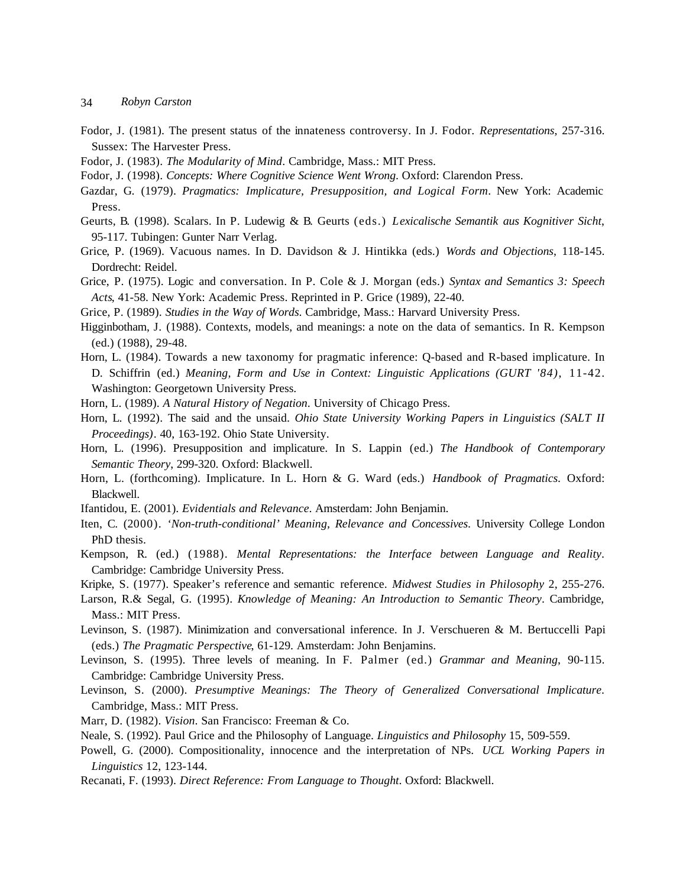- Fodor, J. (1981). The present status of the innateness controversy. In J. Fodor. *Representations*, 257-316. Sussex: The Harvester Press.
- Fodor, J. (1983). *The Modularity of Mind*. Cambridge, Mass.: MIT Press.
- Fodor, J. (1998). *Concepts: Where Cognitive Science Went Wrong*. Oxford: Clarendon Press.
- Gazdar, G. (1979). *Pragmatics: Implicature, Presupposition, and Logical Form*. New York: Academic Press.
- Geurts, B. (1998). Scalars. In P. Ludewig & B. Geurts (eds.) *Lexicalische Semantik aus Kognitiver Sicht*, 95-117. Tubingen: Gunter Narr Verlag.
- Grice, P. (1969). Vacuous names. In D. Davidson & J. Hintikka (eds.) *Words and Objections*, 118-145. Dordrecht: Reidel.
- Grice, P. (1975). Logic and conversation. In P. Cole & J. Morgan (eds.) *Syntax and Semantics 3: Speech Acts*, 41-58. New York: Academic Press. Reprinted in P. Grice (1989), 22-40.
- Grice, P. (1989). *Studies in the Way of Words*. Cambridge, Mass.: Harvard University Press.
- Higginbotham, J. (1988). Contexts, models, and meanings: a note on the data of semantics. In R. Kempson (ed.) (1988), 29-48.
- Horn, L. (1984). Towards a new taxonomy for pragmatic inference: Q-based and R-based implicature. In D. Schiffrin (ed.) *Meaning, Form and Use in Context: Linguistic Applications (GURT '84)*, 11-42. Washington: Georgetown University Press.
- Horn, L. (1989). *A Natural History of Negation*. University of Chicago Press.
- Horn, L. (1992). The said and the unsaid. *Ohio State University Working Papers in Linguistics (SALT II Proceedings)*. 40, 163-192. Ohio State University.
- Horn, L. (1996). Presupposition and implicature. In S. Lappin (ed.) *The Handbook of Contemporary Semantic Theory*, 299-320. Oxford: Blackwell.
- Horn, L. (forthcoming). Implicature. In L. Horn & G. Ward (eds.) *Handbook of Pragmatics*. Oxford: Blackwell.
- Ifantidou, E. (2001). *Evidentials and Relevance*. Amsterdam: John Benjamin.
- Iten, C. (2000). *'Non-truth-conditional' Meaning, Relevance and Concessives*. University College London PhD thesis.
- Kempson, R. (ed.) (1988). *Mental Representations: the Interface between Language and Reality*. Cambridge: Cambridge University Press.
- Kripke, S. (1977). Speaker's reference and semantic reference. *Midwest Studies in Philosophy* 2, 255-276.
- Larson, R.& Segal, G. (1995). *Knowledge of Meaning: An Introduction to Semantic Theory*. Cambridge, Mass.: MIT Press.
- Levinson, S. (1987). Minimization and conversational inference. In J. Verschueren & M. Bertuccelli Papi (eds.) *The Pragmatic Perspective*, 61-129. Amsterdam: John Benjamins.
- Levinson, S. (1995). Three levels of meaning. In F. Palmer (ed.) *Grammar and Meaning*, 90-115. Cambridge: Cambridge University Press.
- Levinson, S. (2000). *Presumptive Meanings: The Theory of Generalized Conversational Implicature*. Cambridge, Mass.: MIT Press.
- Marr, D. (1982). *Vision*. San Francisco: Freeman & Co.
- Neale, S. (1992). Paul Grice and the Philosophy of Language. *Linguistics and Philosophy* 15, 509-559.
- Powell, G. (2000). Compositionality, innocence and the interpretation of NPs. *UCL Working Papers in Linguistics* 12, 123-144.
- Recanati, F. (1993). *Direct Reference: From Language to Thought*. Oxford: Blackwell.